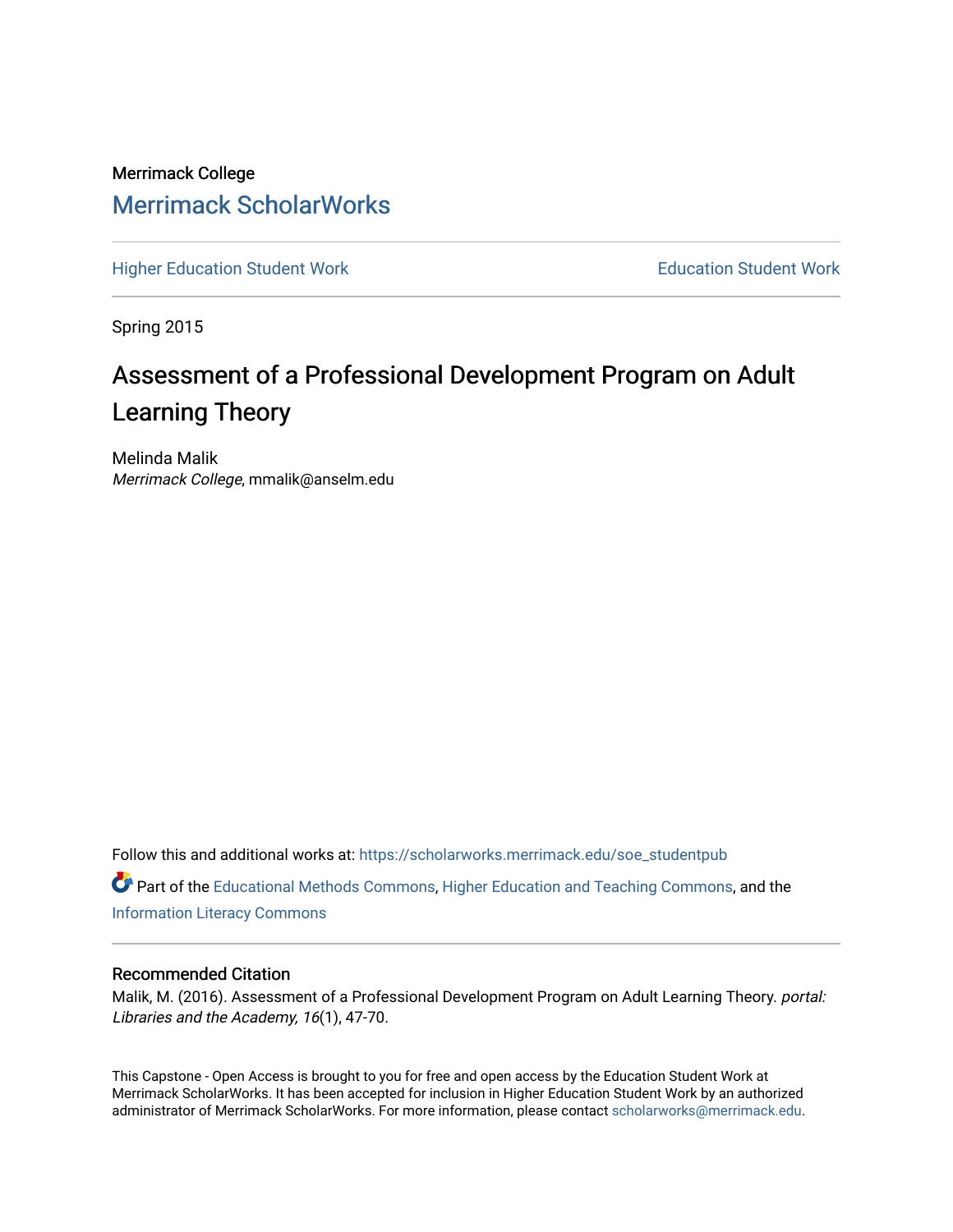# Merrimack College [Merrimack ScholarWorks](https://scholarworks.merrimack.edu/)

[Higher Education Student Work](https://scholarworks.merrimack.edu/soe_studentpub) **Education Student Work** Education Student Work

Spring 2015

# Assessment of a Professional Development Program on Adult Learning Theory

Melinda Malik Merrimack College, mmalik@anselm.edu

Follow this and additional works at: [https://scholarworks.merrimack.edu/soe\\_studentpub](https://scholarworks.merrimack.edu/soe_studentpub?utm_source=scholarworks.merrimack.edu%2Fsoe_studentpub%2F23&utm_medium=PDF&utm_campaign=PDFCoverPages) 

Part of the [Educational Methods Commons,](http://network.bepress.com/hgg/discipline/1227?utm_source=scholarworks.merrimack.edu%2Fsoe_studentpub%2F23&utm_medium=PDF&utm_campaign=PDFCoverPages) [Higher Education and Teaching Commons](http://network.bepress.com/hgg/discipline/806?utm_source=scholarworks.merrimack.edu%2Fsoe_studentpub%2F23&utm_medium=PDF&utm_campaign=PDFCoverPages), and the [Information Literacy Commons](http://network.bepress.com/hgg/discipline/1243?utm_source=scholarworks.merrimack.edu%2Fsoe_studentpub%2F23&utm_medium=PDF&utm_campaign=PDFCoverPages) 

## Recommended Citation

Malik, M. (2016). Assessment of a Professional Development Program on Adult Learning Theory. portal: Libraries and the Academy, 16(1), 47-70.

This Capstone - Open Access is brought to you for free and open access by the Education Student Work at Merrimack ScholarWorks. It has been accepted for inclusion in Higher Education Student Work by an authorized administrator of Merrimack ScholarWorks. For more information, please contact [scholarworks@merrimack.edu](mailto:scholarworks@merrimack.edu).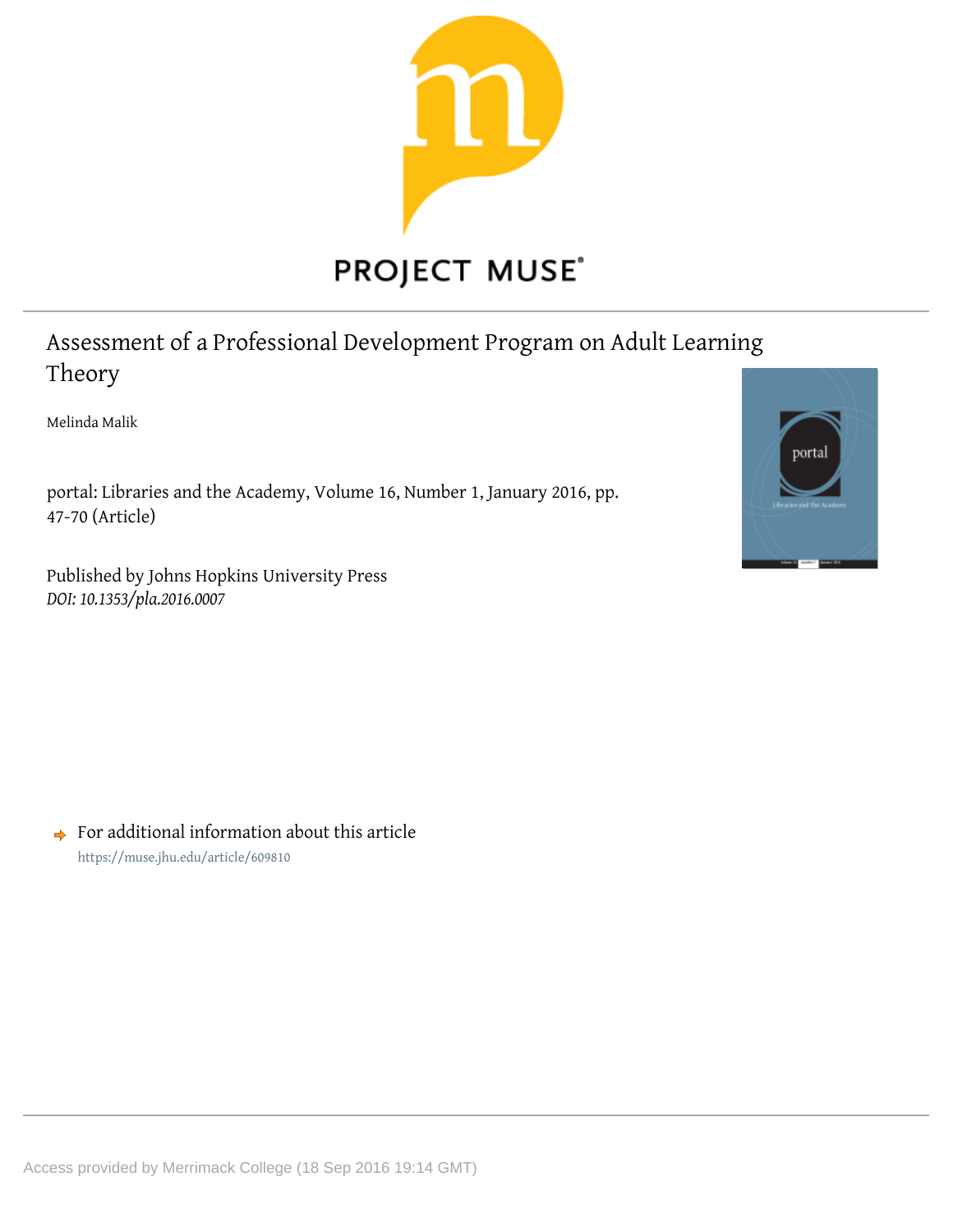

# Assessment of a Professional Development Program on Adult Learning Theory

Melinda Malik

portal: Libraries and the Academy, Volume 16, Number 1, January 2016, pp. 47-70 (Article)

Published by Johns Hopkins University Press DOI: 10.1353/pla.2016.0007



 $\rightarrow$  For additional information about this article https://muse.jhu.edu/article/609810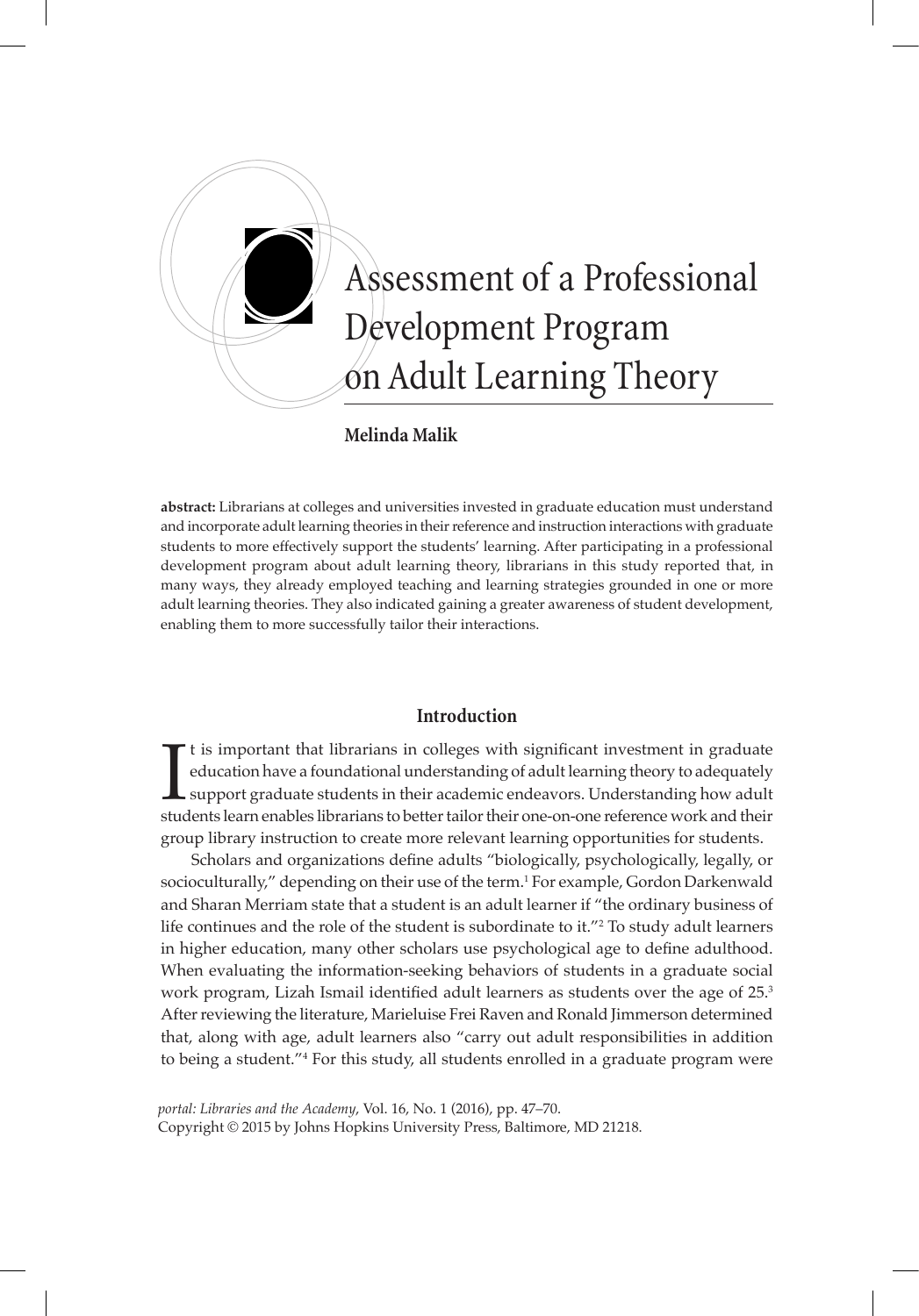

**Melinda Malik**

**abstract:** Librarians at colleges and universities invested in graduate education must understand and incorporate adult learning theories in their reference and instruction interactions with graduate students to more effectively support the students' learning. After participating in a professional development program about adult learning theory, librarians in this study reported that, in many ways, they already employed teaching and learning strategies grounded in one or more adult learning theories. They also indicated gaining a greater awareness of student development, enabling them to more successfully tailor their interactions.

## **Introduction**

It is important that librarians in colleges with significant investment in graduate education have a foundational understanding of adult learning theory to adequately support graduate students in their academic endeavors. t is important that librarians in colleges with significant investment in graduate education have a foundational understanding of adult learning theory to adequately support graduate students in their academic endeavors. Understanding how adult group library instruction to create more relevant learning opportunities for students.

Scholars and organizations define adults "biologically, psychologically, legally, or socioculturally," depending on their use of the term.1 For example, Gordon Darkenwald and Sharan Merriam state that a student is an adult learner if "the ordinary business of life continues and the role of the student is subordinate to it."2 To study adult learners in higher education, many other scholars use psychological age to define adulthood. When evaluating the information-seeking behaviors of students in a graduate social work program, Lizah Ismail identified adult learners as students over the age of 25.<sup>3</sup> After reviewing the literature, Marieluise Frei Raven and Ronald Jimmerson determined that, along with age, adult learners also "carry out adult responsibilities in addition to being a student."<sup>4</sup> For this study, all students enrolled in a graduate program were

*portal: Libraries and the Academy*, Vol. 16, No. 1 (2016), pp. 47–70. Copyright © 2015 by Johns Hopkins University Press, Baltimore, MD 21218.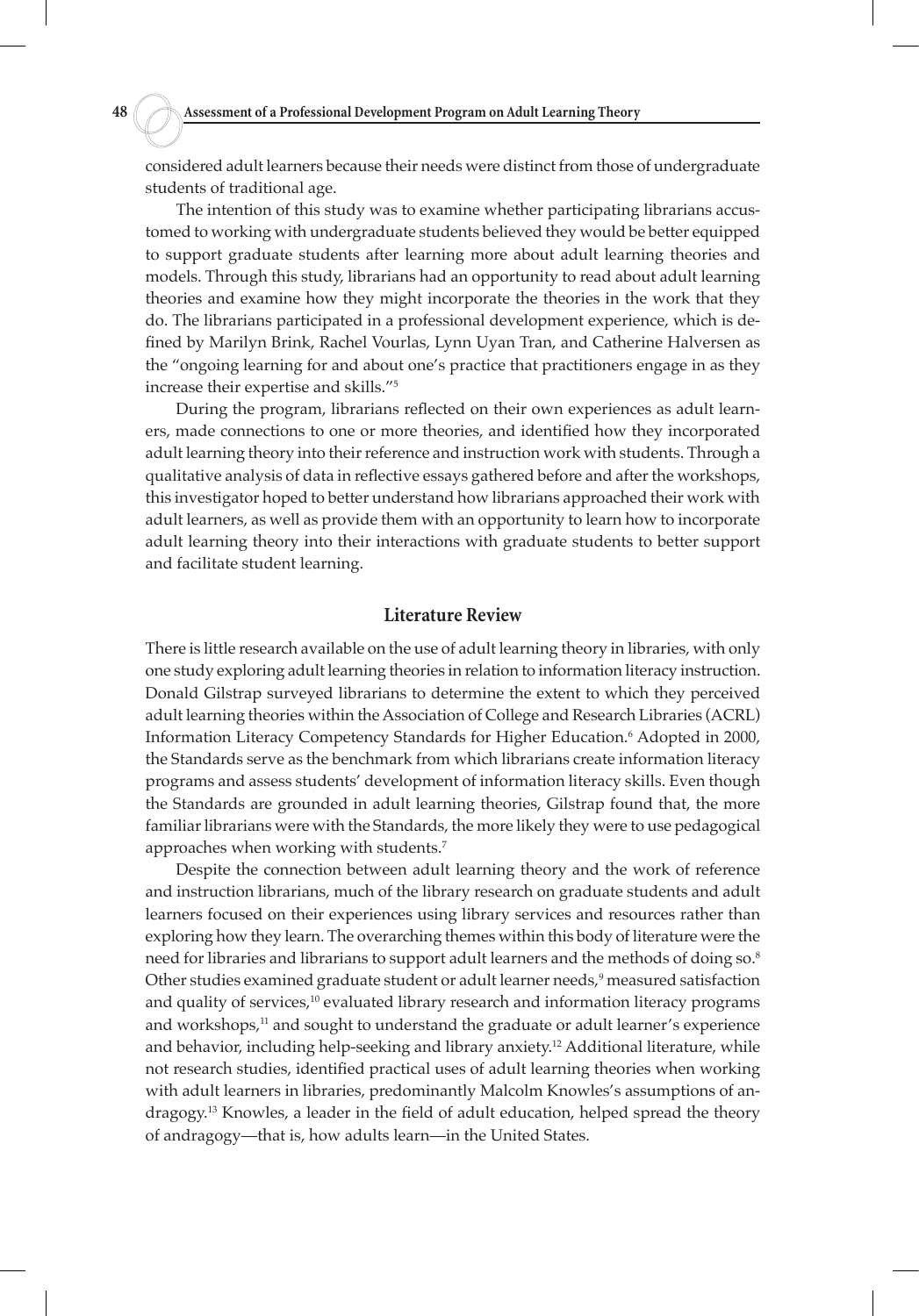considered adult learners because their needs were distinct from those of undergraduate students of traditional age.

The intention of this study was to examine whether participating librarians accustomed to working with undergraduate students believed they would be better equipped to support graduate students after learning more about adult learning theories and models. Through this study, librarians had an opportunity to read about adult learning theories and examine how they might incorporate the theories in the work that they do. The librarians participated in a professional development experience, which is defined by Marilyn Brink, Rachel Vourlas, Lynn Uyan Tran, and Catherine Halversen as the "ongoing learning for and about one's practice that practitioners engage in as they increase their expertise and skills."5

During the program, librarians reflected on their own experiences as adult learners, made connections to one or more theories, and identified how they incorporated adult learning theory into their reference and instruction work with students. Through a qualitative analysis of data in reflective essays gathered before and after the workshops, this investigator hoped to better understand how librarians approached their work with adult learners, as well as provide them with an opportunity to learn how to incorporate adult learning theory into their interactions with graduate students to better support and facilitate student learning.

#### **Literature Review**

There is little research available on the use of adult learning theory in libraries, with only one study exploring adult learning theories in relation to information literacy instruction. Donald Gilstrap surveyed librarians to determine the extent to which they perceived adult learning theories within the Association of College and Research Libraries (ACRL) Information Literacy Competency Standards for Higher Education.6 Adopted in 2000, the Standards serve as the benchmark from which librarians create information literacy programs and assess students' development of information literacy skills. Even though the Standards are grounded in adult learning theories, Gilstrap found that, the more familiar librarians were with the Standards, the more likely they were to use pedagogical approaches when working with students.7

Despite the connection between adult learning theory and the work of reference and instruction librarians, much of the library research on graduate students and adult learners focused on their experiences using library services and resources rather than exploring how they learn. The overarching themes within this body of literature were the need for libraries and librarians to support adult learners and the methods of doing so.<sup>8</sup> Other studies examined graduate student or adult learner needs,<sup>9</sup> measured satisfaction and quality of services,<sup>10</sup> evaluated library research and information literacy programs and workshops,<sup>11</sup> and sought to understand the graduate or adult learner's experience and behavior, including help-seeking and library anxiety.<sup>12</sup> Additional literature, while not research studies, identified practical uses of adult learning theories when working with adult learners in libraries, predominantly Malcolm Knowles's assumptions of andragogy.13 Knowles, a leader in the field of adult education, helped spread the theory of andragogy—that is, how adults learn—in the United States.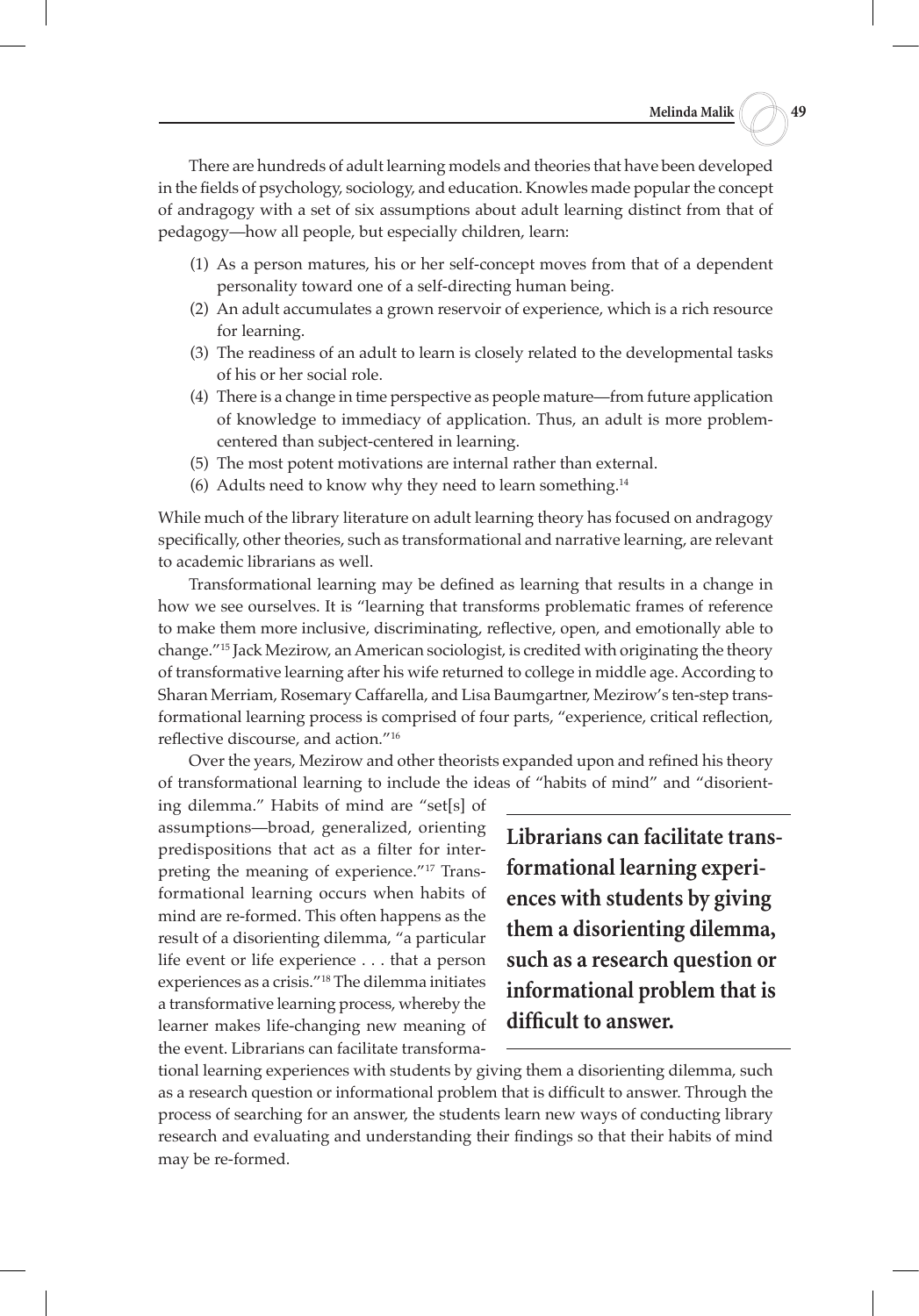There are hundreds of adult learning models and theories that have been developed in the fields of psychology, sociology, and education. Knowles made popular the concept of andragogy with a set of six assumptions about adult learning distinct from that of pedagogy—how all people, but especially children, learn:

- (1) As a person matures, his or her self-concept moves from that of a dependent personality toward one of a self-directing human being.
- (2) An adult accumulates a grown reservoir of experience, which is a rich resource for learning.
- (3) The readiness of an adult to learn is closely related to the developmental tasks of his or her social role.
- (4) There is a change in time perspective as people mature—from future application of knowledge to immediacy of application. Thus, an adult is more problemcentered than subject-centered in learning.
- (5) The most potent motivations are internal rather than external.
- (6) Adults need to know why they need to learn something.14

While much of the library literature on adult learning theory has focused on andragogy specifically, other theories, such as transformational and narrative learning, are relevant to academic librarians as well.

Transformational learning may be defined as learning that results in a change in how we see ourselves. It is "learning that transforms problematic frames of reference to make them more inclusive, discriminating, reflective, open, and emotionally able to change."15 Jack Mezirow, an American sociologist, is credited with originating the theory of transformative learning after his wife returned to college in middle age. According to Sharan Merriam, Rosemary Caffarella, and Lisa Baumgartner, Mezirow's ten-step transformational learning process is comprised of four parts, "experience, critical reflection, reflective discourse, and action."<sup>16</sup>

Over the years, Mezirow and other theorists expanded upon and refined his theory of transformational learning to include the ideas of "habits of mind" and "disorient-

ing dilemma." Habits of mind are "set[s] of assumptions—broad, generalized, orienting predispositions that act as a filter for interpreting the meaning of experience."17 Transformational learning occurs when habits of mind are re-formed. This often happens as the result of a disorienting dilemma, "a particular life event or life experience . . . that a person experiences as a crisis."18 The dilemma initiates a transformative learning process, whereby the learner makes life-changing new meaning of the event. Librarians can facilitate transforma-

**Librarians can facilitate transformational learning experiences with students by giving them a disorienting dilemma, such as a research question or informational problem that is difficult to answer.**

tional learning experiences with students by giving them a disorienting dilemma, such as a research question or informational problem that is difficult to answer. Through the process of searching for an answer, the students learn new ways of conducting library research and evaluating and understanding their findings so that their habits of mind may be re-formed.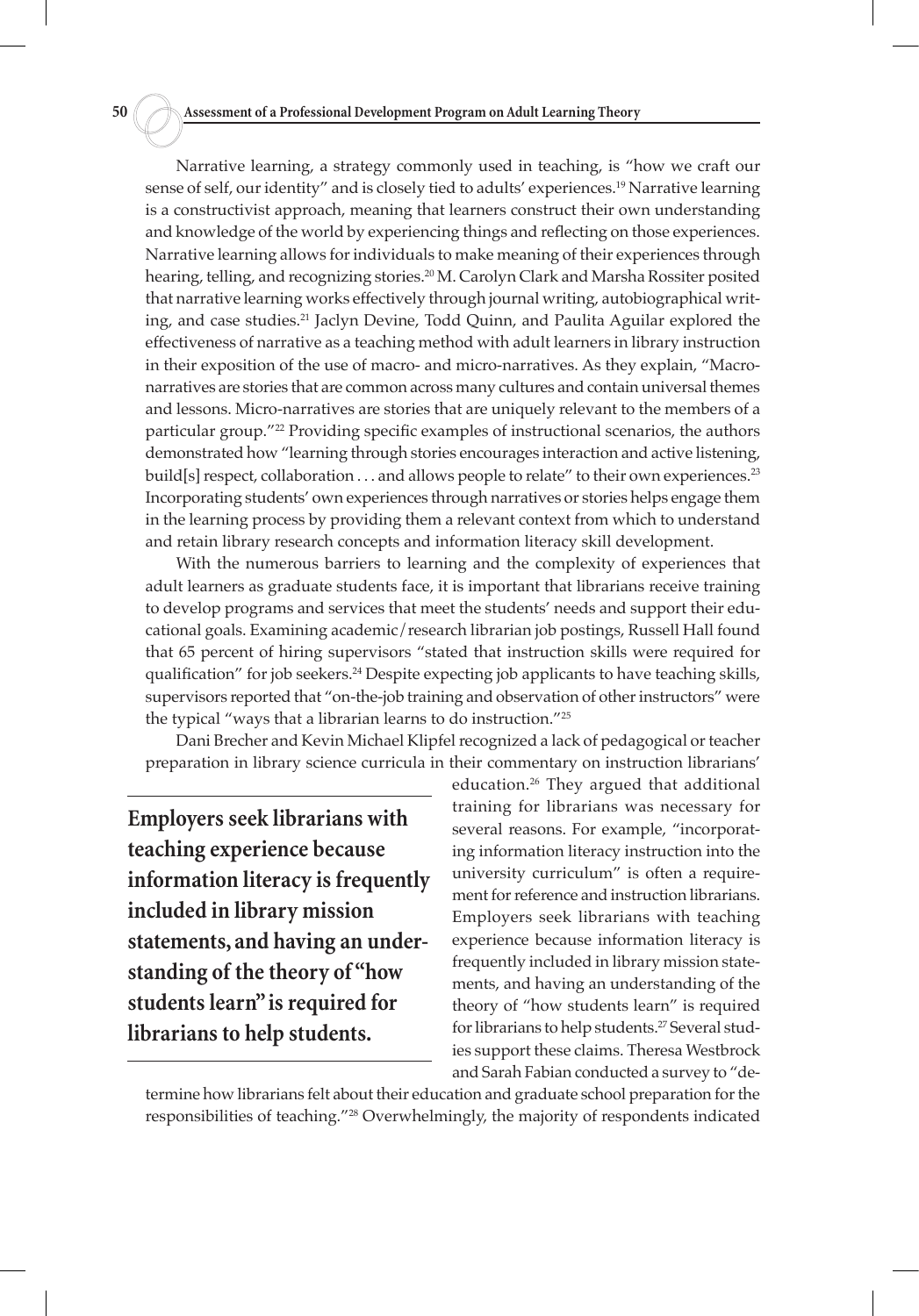Narrative learning, a strategy commonly used in teaching, is "how we craft our sense of self, our identity" and is closely tied to adults' experiences.<sup>19</sup> Narrative learning is a constructivist approach, meaning that learners construct their own understanding and knowledge of the world by experiencing things and reflecting on those experiences. Narrative learning allows for individuals to make meaning of their experiences through hearing, telling, and recognizing stories.20 M. Carolyn Clark and Marsha Rossiter posited that narrative learning works effectively through journal writing, autobiographical writing, and case studies.21 Jaclyn Devine, Todd Quinn, and Paulita Aguilar explored the effectiveness of narrative as a teaching method with adult learners in library instruction in their exposition of the use of macro- and micro-narratives. As they explain, "Macronarratives are stories that are common across many cultures and contain universal themes and lessons. Micro-narratives are stories that are uniquely relevant to the members of a particular group."22 Providing specific examples of instructional scenarios, the authors demonstrated how "learning through stories encourages interaction and active listening, build[s] respect, collaboration . . . and allows people to relate" to their own experiences.<sup>23</sup> Incorporating students' own experiences through narratives or stories helps engage them in the learning process by providing them a relevant context from which to understand and retain library research concepts and information literacy skill development.

With the numerous barriers to learning and the complexity of experiences that adult learners as graduate students face, it is important that librarians receive training to develop programs and services that meet the students' needs and support their educational goals. Examining academic/research librarian job postings, Russell Hall found that 65 percent of hiring supervisors "stated that instruction skills were required for qualification" for job seekers.<sup>24</sup> Despite expecting job applicants to have teaching skills, supervisors reported that "on-the-job training and observation of other instructors" were the typical "ways that a librarian learns to do instruction."<sup>25</sup>

Dani Brecher and Kevin Michael Klipfel recognized a lack of pedagogical or teacher preparation in library science curricula in their commentary on instruction librarians'

**Employers seek librarians with teaching experience because information literacy is frequently included in library mission statements, and having an understanding of the theory of "how students learn" is required for librarians to help students.**

education.26 They argued that additional training for librarians was necessary for several reasons. For example, "incorporating information literacy instruction into the university curriculum" is often a requirement for reference and instruction librarians. Employers seek librarians with teaching experience because information literacy is frequently included in library mission statements, and having an understanding of the theory of "how students learn" is required for librarians to help students.<sup>27</sup> Several studies support these claims. Theresa Westbrock and Sarah Fabian conducted a survey to "de-

termine how librarians felt about their education and graduate school preparation for the responsibilities of teaching."28 Overwhelmingly, the majority of respondents indicated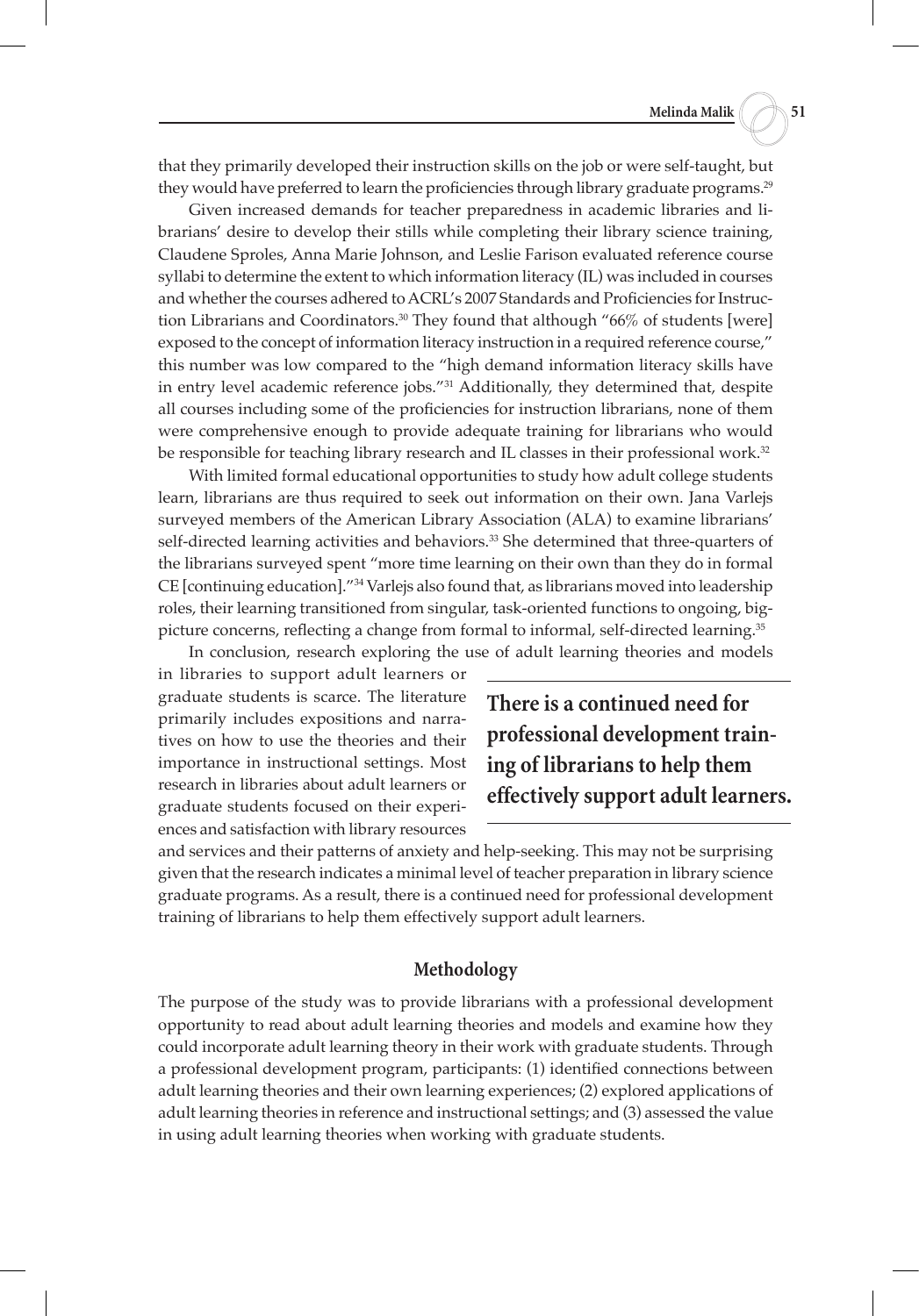that they primarily developed their instruction skills on the job or were self-taught, but they would have preferred to learn the proficiencies through library graduate programs.<sup>29</sup>

Given increased demands for teacher preparedness in academic libraries and librarians' desire to develop their stills while completing their library science training, Claudene Sproles, Anna Marie Johnson, and Leslie Farison evaluated reference course syllabi to determine the extent to which information literacy (IL) was included in courses and whether the courses adhered to ACRL's 2007 Standards and Proficiencies for Instruction Librarians and Coordinators.<sup>30</sup> They found that although "66% of students [were] exposed to the concept of information literacy instruction in a required reference course," this number was low compared to the "high demand information literacy skills have in entry level academic reference jobs."31 Additionally, they determined that, despite all courses including some of the proficiencies for instruction librarians, none of them were comprehensive enough to provide adequate training for librarians who would be responsible for teaching library research and IL classes in their professional work.<sup>32</sup>

With limited formal educational opportunities to study how adult college students learn, librarians are thus required to seek out information on their own. Jana Varlejs surveyed members of the American Library Association (ALA) to examine librarians' self-directed learning activities and behaviors.33 She determined that three-quarters of the librarians surveyed spent "more time learning on their own than they do in formal CE [continuing education]."34 Varlejs also found that, as librarians moved into leadership roles, their learning transitioned from singular, task-oriented functions to ongoing, bigpicture concerns, reflecting a change from formal to informal, self-directed learning.<sup>35</sup>

In conclusion, research exploring the use of adult learning theories and models in libraries to support adult learners or graduate students is scarce. The literature primarily includes expositions and narratives on how to use the theories and their importance in instructional settings. Most research in libraries about adult learners or graduate students focused on their experiences and satisfaction with library resources

**There is a continued need for professional development training of librarians to help them effectively support adult learners.**

and services and their patterns of anxiety and help-seeking. This may not be surprising given that the research indicates a minimal level of teacher preparation in library science graduate programs. As a result, there is a continued need for professional development training of librarians to help them effectively support adult learners.

### **Methodology**

The purpose of the study was to provide librarians with a professional development opportunity to read about adult learning theories and models and examine how they could incorporate adult learning theory in their work with graduate students. Through a professional development program, participants: (1) identified connections between adult learning theories and their own learning experiences; (2) explored applications of adult learning theories in reference and instructional settings; and (3) assessed the value in using adult learning theories when working with graduate students.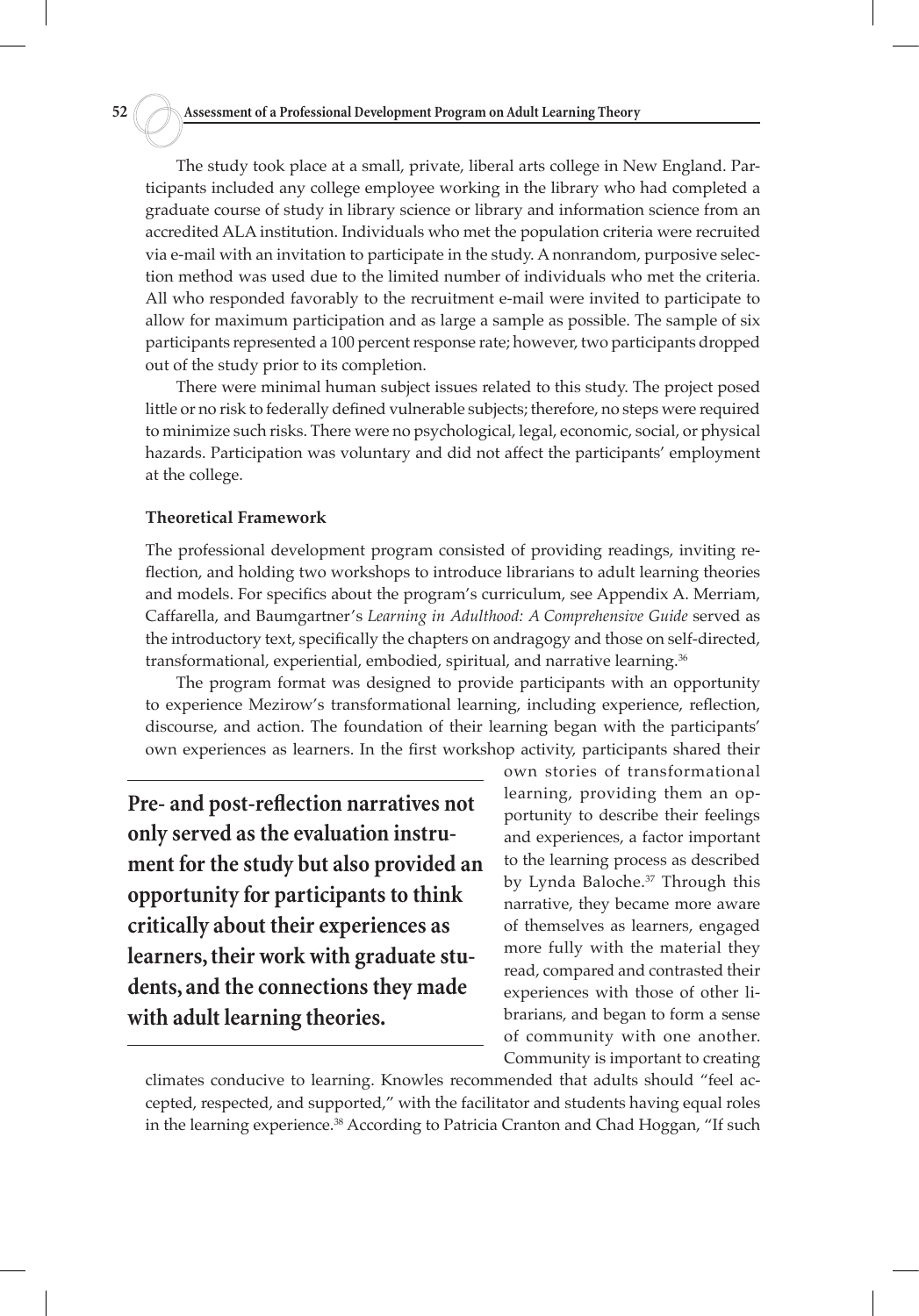The study took place at a small, private, liberal arts college in New England. Participants included any college employee working in the library who had completed a graduate course of study in library science or library and information science from an accredited ALA institution. Individuals who met the population criteria were recruited via e-mail with an invitation to participate in the study. A nonrandom, purposive selection method was used due to the limited number of individuals who met the criteria. All who responded favorably to the recruitment e-mail were invited to participate to allow for maximum participation and as large a sample as possible. The sample of six participants represented a 100 percent response rate; however, two participants dropped out of the study prior to its completion.

There were minimal human subject issues related to this study. The project posed little or no risk to federally defined vulnerable subjects; therefore, no steps were required to minimize such risks. There were no psychological, legal, economic, social, or physical hazards. Participation was voluntary and did not affect the participants' employment at the college.

#### **Theoretical Framework**

The professional development program consisted of providing readings, inviting reflection, and holding two workshops to introduce librarians to adult learning theories and models. For specifics about the program's curriculum, see Appendix A. Merriam, Caffarella, and Baumgartner's *Learning in Adulthood: A Comprehensive Guide* served as the introductory text, specifically the chapters on andragogy and those on self-directed, transformational, experiential, embodied, spiritual, and narrative learning.<sup>36</sup>

The program format was designed to provide participants with an opportunity to experience Mezirow's transformational learning, including experience, reflection, discourse, and action. The foundation of their learning began with the participants' own experiences as learners. In the first workshop activity, participants shared their

**Pre- and post-reflection narratives not only served as the evaluation instrument for the study but also provided an opportunity for participants to think critically about their experiences as learners, their work with graduate students, and the connections they made with adult learning theories.**

own stories of transformational learning, providing them an opportunity to describe their feelings and experiences, a factor important to the learning process as described by Lynda Baloche.<sup>37</sup> Through this narrative, they became more aware of themselves as learners, engaged more fully with the material they read, compared and contrasted their experiences with those of other librarians, and began to form a sense of community with one another. Community is important to creating

climates conducive to learning. Knowles recommended that adults should "feel accepted, respected, and supported," with the facilitator and students having equal roles in the learning experience.<sup>38</sup> According to Patricia Cranton and Chad Hoggan, "If such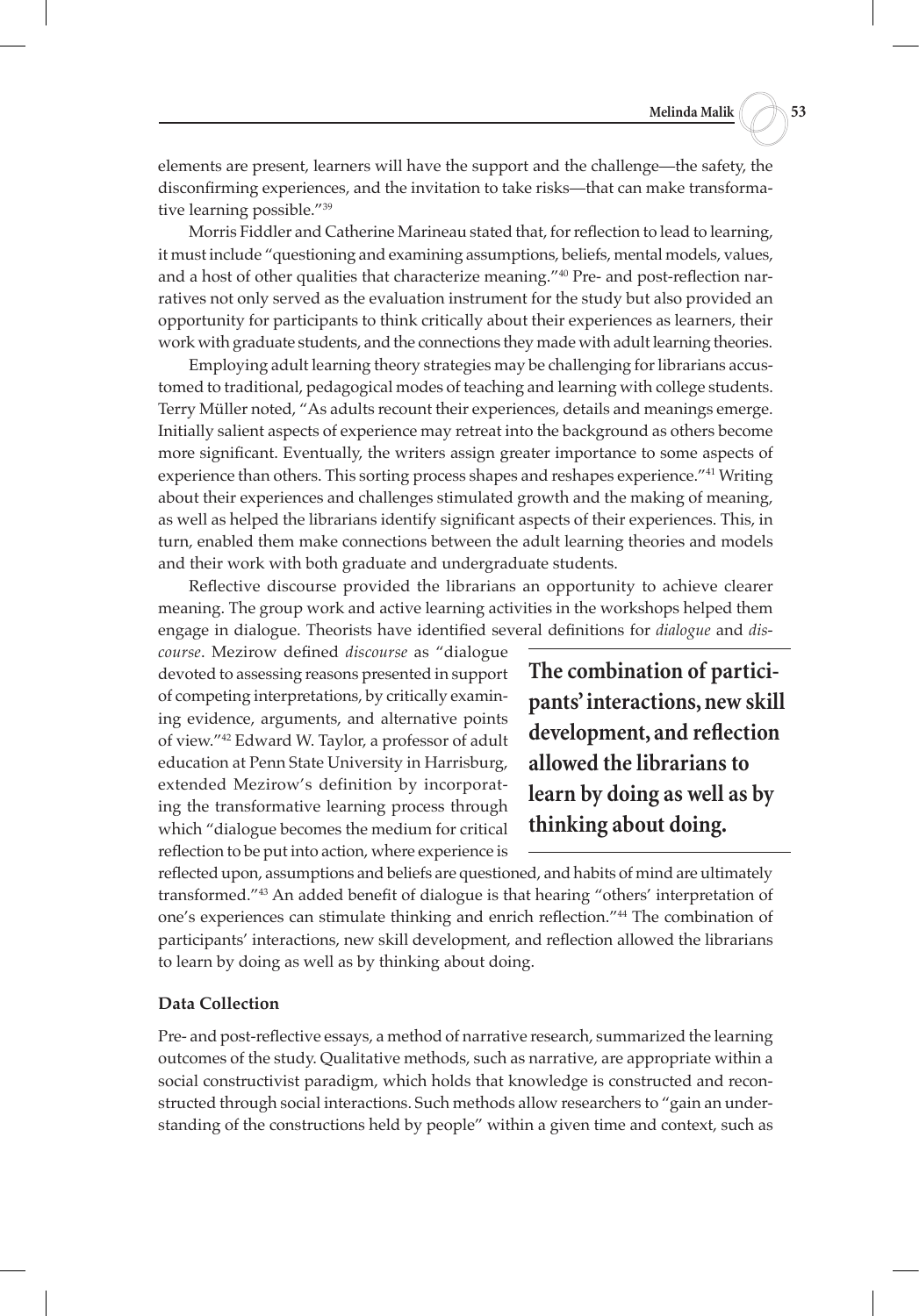elements are present, learners will have the support and the challenge—the safety, the disconfirming experiences, and the invitation to take risks—that can make transformative learning possible."39

Morris Fiddler and Catherine Marineau stated that, for reflection to lead to learning, it must include "questioning and examining assumptions, beliefs, mental models, values, and a host of other qualities that characterize meaning."40 Pre- and post-reflection narratives not only served as the evaluation instrument for the study but also provided an opportunity for participants to think critically about their experiences as learners, their work with graduate students, and the connections they made with adult learning theories.

Employing adult learning theory strategies may be challenging for librarians accustomed to traditional, pedagogical modes of teaching and learning with college students. Terry Müller noted, "As adults recount their experiences, details and meanings emerge. Initially salient aspects of experience may retreat into the background as others become more significant. Eventually, the writers assign greater importance to some aspects of experience than others. This sorting process shapes and reshapes experience."<sup>41</sup> Writing about their experiences and challenges stimulated growth and the making of meaning, as well as helped the librarians identify significant aspects of their experiences. This, in turn, enabled them make connections between the adult learning theories and models and their work with both graduate and undergraduate students.

Reflective discourse provided the librarians an opportunity to achieve clearer meaning. The group work and active learning activities in the workshops helped them engage in dialogue. Theorists have identified several definitions for *dialogue* and *dis-*

*course*. Mezirow defined *discourse* as "dialogue devoted to assessing reasons presented in support of competing interpretations, by critically examining evidence, arguments, and alternative points of view."42 Edward W. Taylor, a professor of adult education at Penn State University in Harrisburg, extended Mezirow's definition by incorporating the transformative learning process through which "dialogue becomes the medium for critical reflection to be put into action, where experience is

**The combination of participants' interactions, new skill development, and reflection allowed the librarians to learn by doing as well as by thinking about doing.** 

reflected upon, assumptions and beliefs are questioned, and habits of mind are ultimately transformed."43 An added benefit of dialogue is that hearing "others' interpretation of one's experiences can stimulate thinking and enrich reflection."44 The combination of participants' interactions, new skill development, and reflection allowed the librarians to learn by doing as well as by thinking about doing.

#### **Data Collection**

Pre- and post-reflective essays, a method of narrative research, summarized the learning outcomes of the study. Qualitative methods, such as narrative, are appropriate within a social constructivist paradigm, which holds that knowledge is constructed and reconstructed through social interactions. Such methods allow researchers to "gain an understanding of the constructions held by people" within a given time and context, such as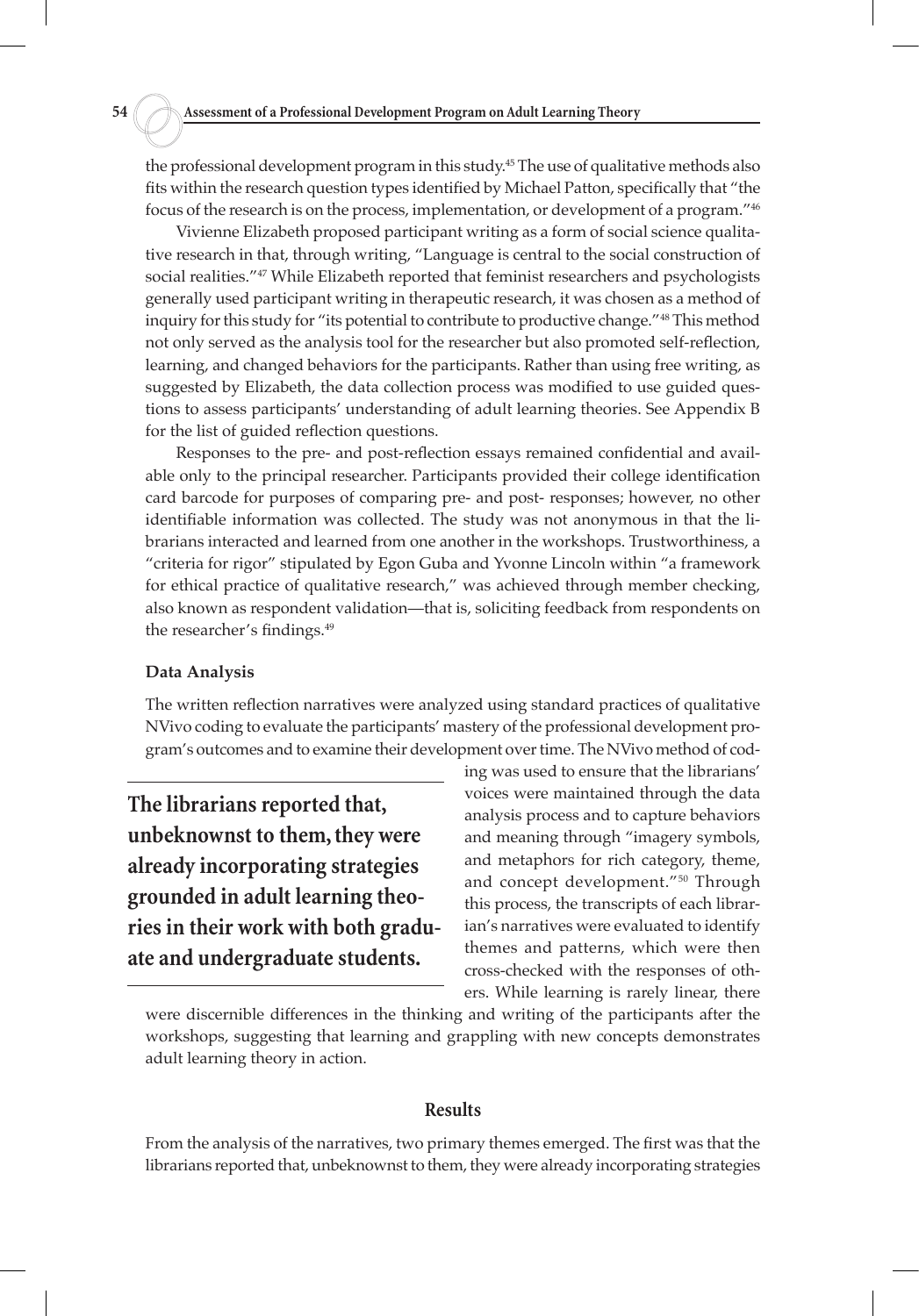the professional development program in this study.<sup>45</sup> The use of qualitative methods also fits within the research question types identified by Michael Patton, specifically that "the focus of the research is on the process, implementation, or development of a program."46

Vivienne Elizabeth proposed participant writing as a form of social science qualitative research in that, through writing, "Language is central to the social construction of social realities."<sup>47</sup> While Elizabeth reported that feminist researchers and psychologists generally used participant writing in therapeutic research, it was chosen as a method of inquiry for this study for "its potential to contribute to productive change."48 This method not only served as the analysis tool for the researcher but also promoted self-reflection, learning, and changed behaviors for the participants. Rather than using free writing, as suggested by Elizabeth, the data collection process was modified to use guided questions to assess participants' understanding of adult learning theories. See Appendix B for the list of guided reflection questions.

Responses to the pre- and post-reflection essays remained confidential and available only to the principal researcher. Participants provided their college identification card barcode for purposes of comparing pre- and post- responses; however, no other identifiable information was collected. The study was not anonymous in that the librarians interacted and learned from one another in the workshops. Trustworthiness, a "criteria for rigor" stipulated by Egon Guba and Yvonne Lincoln within "a framework for ethical practice of qualitative research," was achieved through member checking, also known as respondent validation—that is, soliciting feedback from respondents on the researcher's findings.<sup>49</sup>

#### **Data Analysis**

The written reflection narratives were analyzed using standard practices of qualitative NVivo coding to evaluate the participants' mastery of the professional development program's outcomes and to examine their development over time. The NVivo method of cod-

**The librarians reported that, unbeknownst to them, they were already incorporating strategies grounded in adult learning theories in their work with both graduate and undergraduate students.** 

ing was used to ensure that the librarians' voices were maintained through the data analysis process and to capture behaviors and meaning through "imagery symbols, and metaphors for rich category, theme, and concept development."50 Through this process, the transcripts of each librarian's narratives were evaluated to identify themes and patterns, which were then cross-checked with the responses of others. While learning is rarely linear, there

were discernible differences in the thinking and writing of the participants after the workshops, suggesting that learning and grappling with new concepts demonstrates adult learning theory in action.

#### **Results**

From the analysis of the narratives, two primary themes emerged. The first was that the librarians reported that, unbeknownst to them, they were already incorporating strategies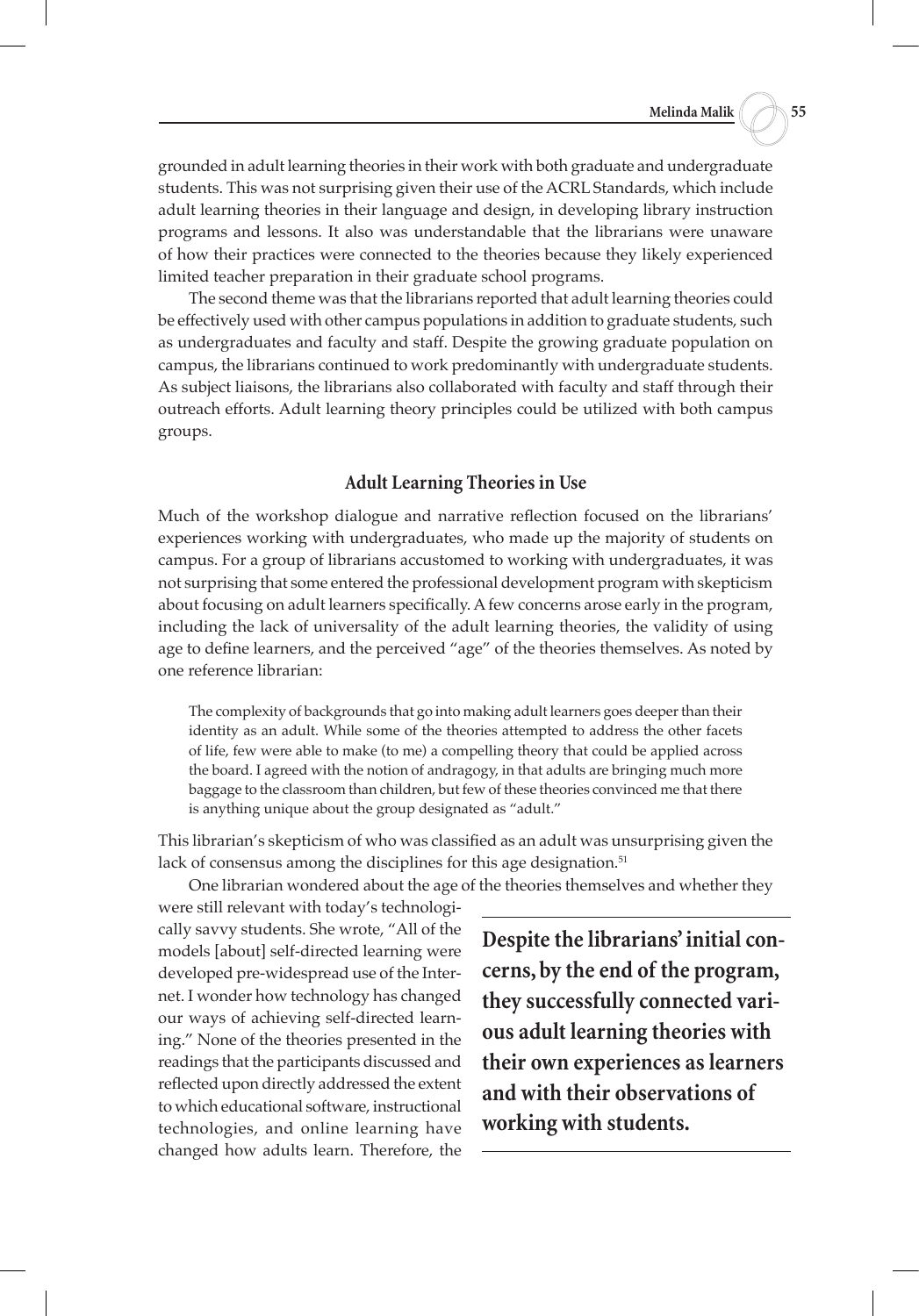grounded in adult learning theories in their work with both graduate and undergraduate students. This was not surprising given their use of the ACRL Standards, which include adult learning theories in their language and design, in developing library instruction programs and lessons. It also was understandable that the librarians were unaware of how their practices were connected to the theories because they likely experienced limited teacher preparation in their graduate school programs.

The second theme was that the librarians reported that adult learning theories could be effectively used with other campus populations in addition to graduate students, such as undergraduates and faculty and staff. Despite the growing graduate population on campus, the librarians continued to work predominantly with undergraduate students. As subject liaisons, the librarians also collaborated with faculty and staff through their outreach efforts. Adult learning theory principles could be utilized with both campus groups.

#### **Adult Learning Theories in Use**

Much of the workshop dialogue and narrative reflection focused on the librarians' experiences working with undergraduates, who made up the majority of students on campus. For a group of librarians accustomed to working with undergraduates, it was not surprising that some entered the professional development program with skepticism about focusing on adult learners specifically. A few concerns arose early in the program, including the lack of universality of the adult learning theories, the validity of using age to define learners, and the perceived "age" of the theories themselves. As noted by one reference librarian:

The complexity of backgrounds that go into making adult learners goes deeper than their identity as an adult. While some of the theories attempted to address the other facets of life, few were able to make (to me) a compelling theory that could be applied across the board. I agreed with the notion of andragogy, in that adults are bringing much more baggage to the classroom than children, but few of these theories convinced me that there is anything unique about the group designated as "adult."

This librarian's skepticism of who was classified as an adult was unsurprising given the lack of consensus among the disciplines for this age designation.<sup>51</sup>

One librarian wondered about the age of the theories themselves and whether they

were still relevant with today's technologically savvy students. She wrote, "All of the models [about] self-directed learning were developed pre-widespread use of the Internet. I wonder how technology has changed our ways of achieving self-directed learning." None of the theories presented in the readings that the participants discussed and reflected upon directly addressed the extent to which educational software, instructional technologies, and online learning have changed how adults learn. Therefore, the

**Despite the librarians' initial concerns, by the end of the program, they successfully connected various adult learning theories with their own experiences as learners and with their observations of working with students.**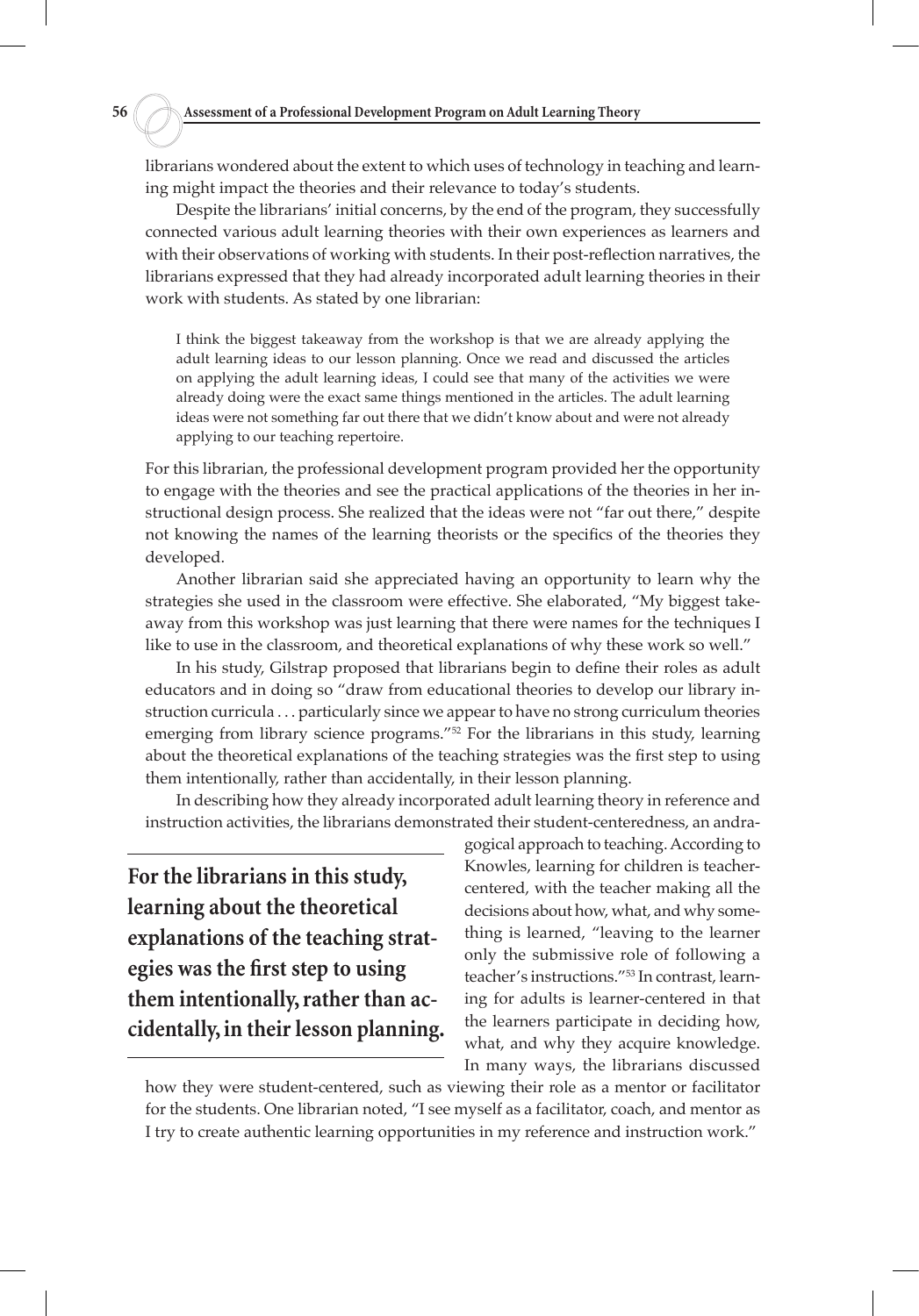librarians wondered about the extent to which uses of technology in teaching and learning might impact the theories and their relevance to today's students.

Despite the librarians' initial concerns, by the end of the program, they successfully connected various adult learning theories with their own experiences as learners and with their observations of working with students. In their post-reflection narratives, the librarians expressed that they had already incorporated adult learning theories in their work with students. As stated by one librarian:

I think the biggest takeaway from the workshop is that we are already applying the adult learning ideas to our lesson planning. Once we read and discussed the articles on applying the adult learning ideas, I could see that many of the activities we were already doing were the exact same things mentioned in the articles. The adult learning ideas were not something far out there that we didn't know about and were not already applying to our teaching repertoire.

For this librarian, the professional development program provided her the opportunity to engage with the theories and see the practical applications of the theories in her instructional design process. She realized that the ideas were not "far out there," despite not knowing the names of the learning theorists or the specifics of the theories they developed.

Another librarian said she appreciated having an opportunity to learn why the strategies she used in the classroom were effective. She elaborated, "My biggest takeaway from this workshop was just learning that there were names for the techniques I like to use in the classroom, and theoretical explanations of why these work so well."

In his study, Gilstrap proposed that librarians begin to define their roles as adult educators and in doing so "draw from educational theories to develop our library instruction curricula . . . particularly since we appear to have no strong curriculum theories emerging from library science programs."<sup>52</sup> For the librarians in this study, learning about the theoretical explanations of the teaching strategies was the first step to using them intentionally, rather than accidentally, in their lesson planning.

In describing how they already incorporated adult learning theory in reference and instruction activities, the librarians demonstrated their student-centeredness, an andra-

**For the librarians in this study, learning about the theoretical explanations of the teaching strategies was the first step to using them intentionally, rather than accidentally, in their lesson planning.** gogical approach to teaching. According to Knowles, learning for children is teachercentered, with the teacher making all the decisions about how, what, and why something is learned, "leaving to the learner only the submissive role of following a teacher's instructions."53 In contrast, learning for adults is learner-centered in that the learners participate in deciding how, what, and why they acquire knowledge. In many ways, the librarians discussed

how they were student-centered, such as viewing their role as a mentor or facilitator for the students. One librarian noted, "I see myself as a facilitator, coach, and mentor as I try to create authentic learning opportunities in my reference and instruction work."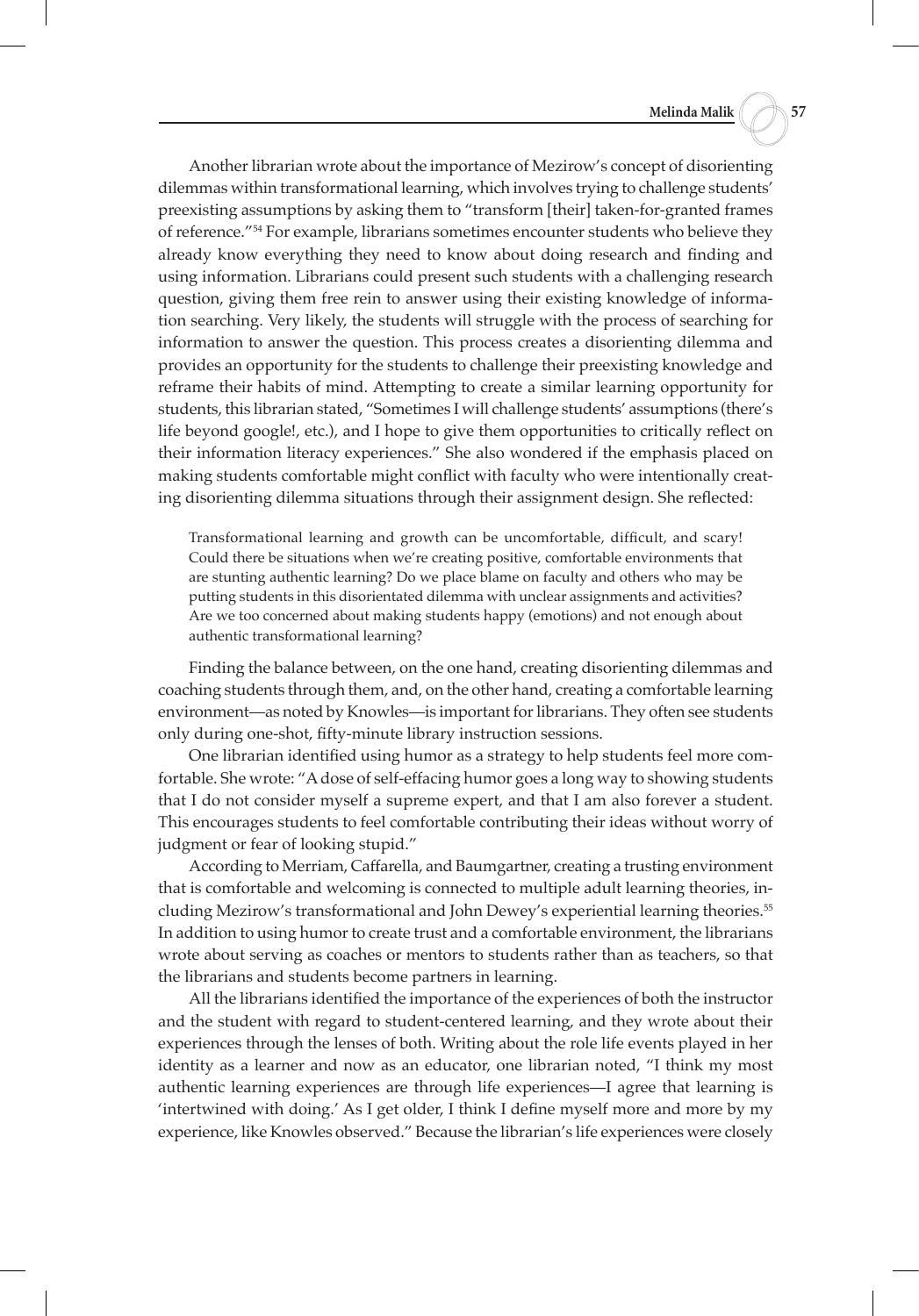Another librarian wrote about the importance of Mezirow's concept of disorienting dilemmas within transformational learning, which involves trying to challenge students' preexisting assumptions by asking them to "transform [their] taken-for-granted frames of reference."54 For example, librarians sometimes encounter students who believe they already know everything they need to know about doing research and finding and using information. Librarians could present such students with a challenging research question, giving them free rein to answer using their existing knowledge of information searching. Very likely, the students will struggle with the process of searching for information to answer the question. This process creates a disorienting dilemma and provides an opportunity for the students to challenge their preexisting knowledge and reframe their habits of mind. Attempting to create a similar learning opportunity for students, this librarian stated, "Sometimes I will challenge students' assumptions (there's life beyond google!, etc.), and I hope to give them opportunities to critically reflect on their information literacy experiences." She also wondered if the emphasis placed on making students comfortable might conflict with faculty who were intentionally creating disorienting dilemma situations through their assignment design. She reflected:

Transformational learning and growth can be uncomfortable, difficult, and scary! Could there be situations when we're creating positive, comfortable environments that are stunting authentic learning? Do we place blame on faculty and others who may be putting students in this disorientated dilemma with unclear assignments and activities? Are we too concerned about making students happy (emotions) and not enough about authentic transformational learning?

Finding the balance between, on the one hand, creating disorienting dilemmas and coaching students through them, and, on the other hand, creating a comfortable learning environment—as noted by Knowles—is important for librarians. They often see students only during one-shot, fifty-minute library instruction sessions.

One librarian identified using humor as a strategy to help students feel more comfortable. She wrote: "A dose of self-effacing humor goes a long way to showing students that I do not consider myself a supreme expert, and that I am also forever a student. This encourages students to feel comfortable contributing their ideas without worry of judgment or fear of looking stupid."

According to Merriam, Caffarella, and Baumgartner, creating a trusting environment that is comfortable and welcoming is connected to multiple adult learning theories, including Mezirow's transformational and John Dewey's experiential learning theories.55 In addition to using humor to create trust and a comfortable environment, the librarians wrote about serving as coaches or mentors to students rather than as teachers, so that the librarians and students become partners in learning.

All the librarians identified the importance of the experiences of both the instructor and the student with regard to student-centered learning, and they wrote about their experiences through the lenses of both. Writing about the role life events played in her identity as a learner and now as an educator, one librarian noted, "I think my most authentic learning experiences are through life experiences—I agree that learning is 'intertwined with doing.' As I get older, I think I define myself more and more by my experience, like Knowles observed." Because the librarian's life experiences were closely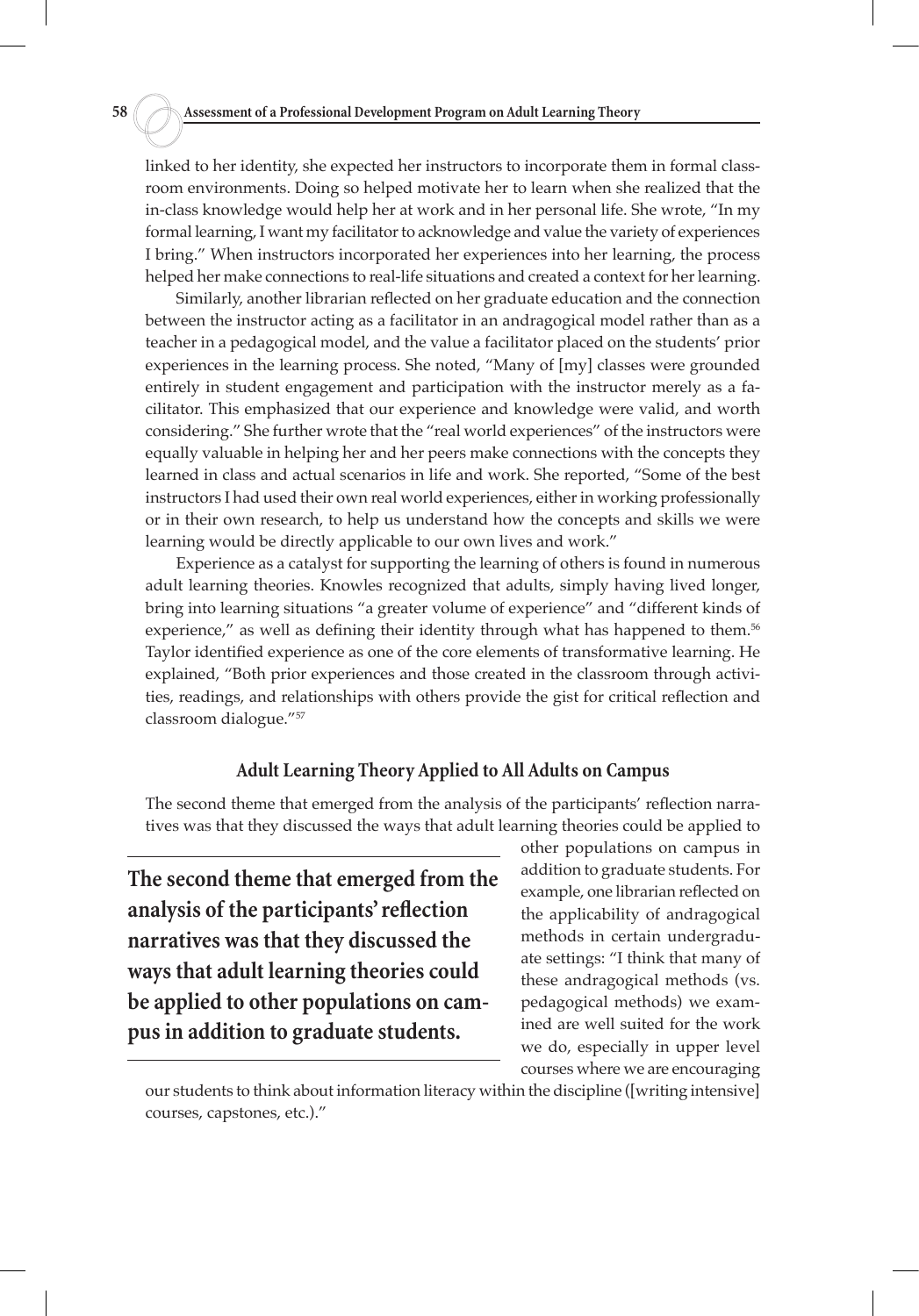linked to her identity, she expected her instructors to incorporate them in formal classroom environments. Doing so helped motivate her to learn when she realized that the in-class knowledge would help her at work and in her personal life. She wrote, "In my formal learning, I want my facilitator to acknowledge and value the variety of experiences I bring." When instructors incorporated her experiences into her learning, the process helped her make connections to real-life situations and created a context for her learning.

Similarly, another librarian reflected on her graduate education and the connection between the instructor acting as a facilitator in an andragogical model rather than as a teacher in a pedagogical model, and the value a facilitator placed on the students' prior experiences in the learning process. She noted, "Many of [my] classes were grounded entirely in student engagement and participation with the instructor merely as a facilitator. This emphasized that our experience and knowledge were valid, and worth considering." She further wrote that the "real world experiences" of the instructors were equally valuable in helping her and her peers make connections with the concepts they learned in class and actual scenarios in life and work. She reported, "Some of the best instructors I had used their own real world experiences, either in working professionally or in their own research, to help us understand how the concepts and skills we were learning would be directly applicable to our own lives and work."

Experience as a catalyst for supporting the learning of others is found in numerous adult learning theories. Knowles recognized that adults, simply having lived longer, bring into learning situations "a greater volume of experience" and "different kinds of experience," as well as defining their identity through what has happened to them.<sup>56</sup> Taylor identified experience as one of the core elements of transformative learning. He explained, "Both prior experiences and those created in the classroom through activities, readings, and relationships with others provide the gist for critical reflection and classroom dialogue."57

## **Adult Learning Theory Applied to All Adults on Campus**

The second theme that emerged from the analysis of the participants' reflection narratives was that they discussed the ways that adult learning theories could be applied to

**The second theme that emerged from the analysis of the participants' reflection narratives was that they discussed the ways that adult learning theories could be applied to other populations on campus in addition to graduate students.**

other populations on campus in addition to graduate students. For example, one librarian reflected on the applicability of andragogical methods in certain undergraduate settings: "I think that many of these andragogical methods (vs. pedagogical methods) we examined are well suited for the work we do, especially in upper level courses where we are encouraging

our students to think about information literacy within the discipline ([writing intensive] courses, capstones, etc.)."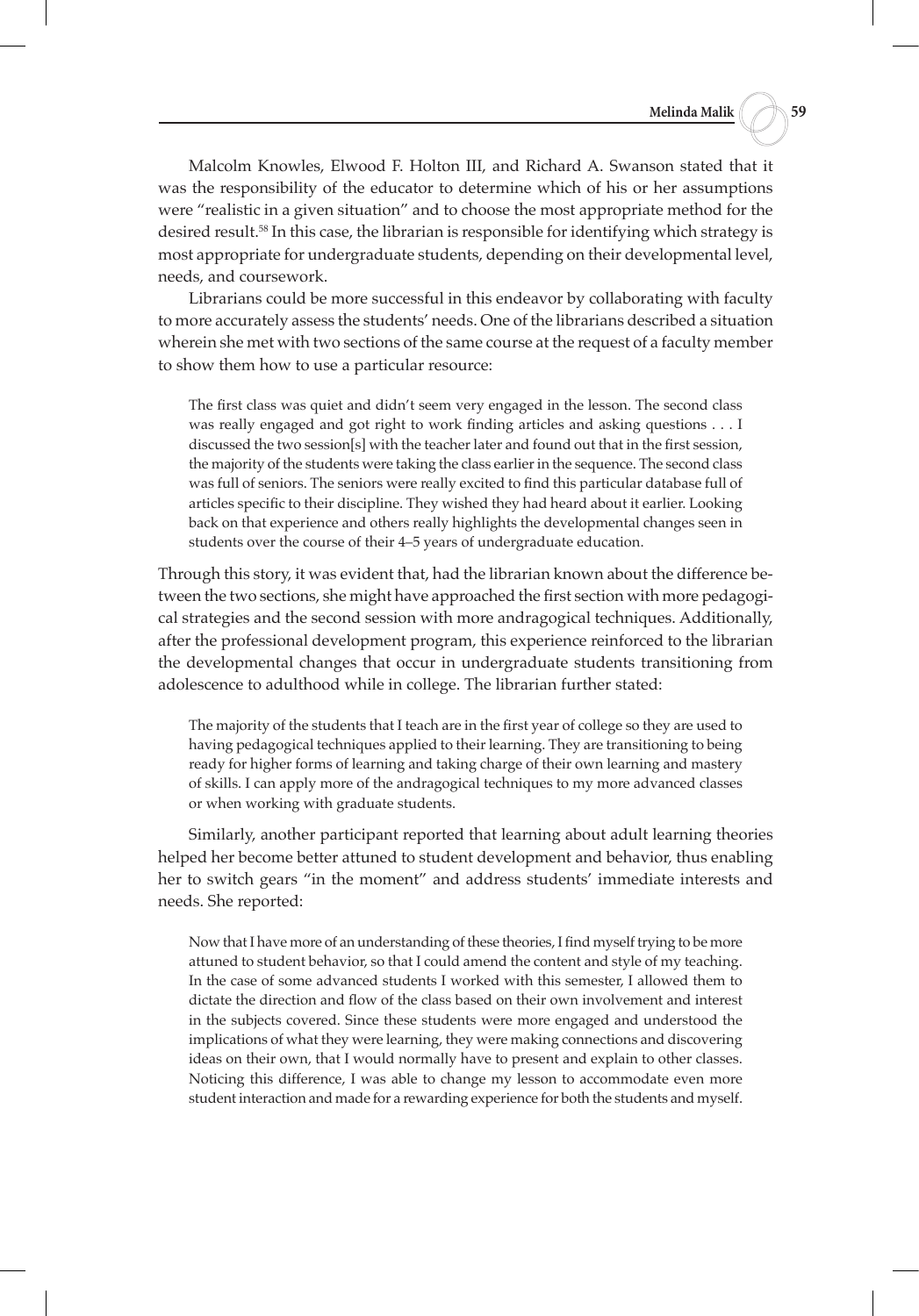Malcolm Knowles, Elwood F. Holton III, and Richard A. Swanson stated that it was the responsibility of the educator to determine which of his or her assumptions were "realistic in a given situation" and to choose the most appropriate method for the desired result.<sup>58</sup> In this case, the librarian is responsible for identifying which strategy is most appropriate for undergraduate students, depending on their developmental level, needs, and coursework.

Librarians could be more successful in this endeavor by collaborating with faculty to more accurately assess the students' needs. One of the librarians described a situation wherein she met with two sections of the same course at the request of a faculty member to show them how to use a particular resource:

The first class was quiet and didn't seem very engaged in the lesson. The second class was really engaged and got right to work finding articles and asking questions . . . I discussed the two session[s] with the teacher later and found out that in the first session, the majority of the students were taking the class earlier in the sequence. The second class was full of seniors. The seniors were really excited to find this particular database full of articles specific to their discipline. They wished they had heard about it earlier. Looking back on that experience and others really highlights the developmental changes seen in students over the course of their 4–5 years of undergraduate education.

Through this story, it was evident that, had the librarian known about the difference between the two sections, she might have approached the first section with more pedagogical strategies and the second session with more andragogical techniques. Additionally, after the professional development program, this experience reinforced to the librarian the developmental changes that occur in undergraduate students transitioning from adolescence to adulthood while in college. The librarian further stated:

The majority of the students that I teach are in the first year of college so they are used to having pedagogical techniques applied to their learning. They are transitioning to being ready for higher forms of learning and taking charge of their own learning and mastery of skills. I can apply more of the andragogical techniques to my more advanced classes or when working with graduate students.

Similarly, another participant reported that learning about adult learning theories helped her become better attuned to student development and behavior, thus enabling her to switch gears "in the moment" and address students' immediate interests and needs. She reported:

Now that I have more of an understanding of these theories, I find myself trying to be more attuned to student behavior, so that I could amend the content and style of my teaching. In the case of some advanced students I worked with this semester, I allowed them to dictate the direction and flow of the class based on their own involvement and interest in the subjects covered. Since these students were more engaged and understood the implications of what they were learning, they were making connections and discovering ideas on their own, that I would normally have to present and explain to other classes. Noticing this difference, I was able to change my lesson to accommodate even more student interaction and made for a rewarding experience for both the students and myself.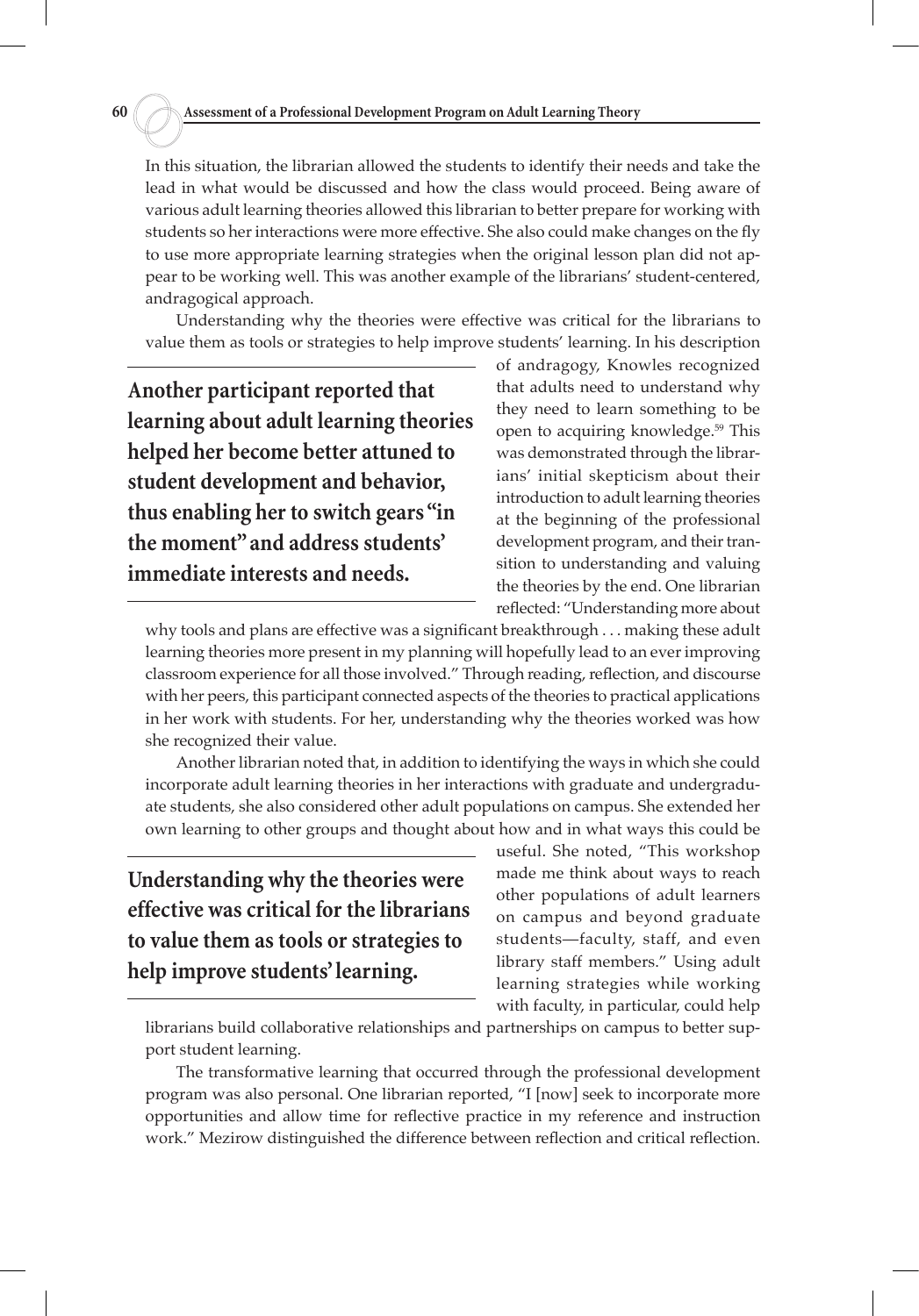In this situation, the librarian allowed the students to identify their needs and take the lead in what would be discussed and how the class would proceed. Being aware of various adult learning theories allowed this librarian to better prepare for working with students so her interactions were more effective. She also could make changes on the fly to use more appropriate learning strategies when the original lesson plan did not appear to be working well. This was another example of the librarians' student-centered, andragogical approach.

Understanding why the theories were effective was critical for the librarians to value them as tools or strategies to help improve students' learning. In his description

**Another participant reported that learning about adult learning theories helped her become better attuned to student development and behavior, thus enabling her to switch gears "in the moment" and address students' immediate interests and needs.**

of andragogy, Knowles recognized that adults need to understand why they need to learn something to be open to acquiring knowledge.59 This was demonstrated through the librarians' initial skepticism about their introduction to adult learning theories at the beginning of the professional development program, and their transition to understanding and valuing the theories by the end. One librarian reflected: "Understanding more about

why tools and plans are effective was a significant breakthrough . . . making these adult learning theories more present in my planning will hopefully lead to an ever improving classroom experience for all those involved." Through reading, reflection, and discourse with her peers, this participant connected aspects of the theories to practical applications in her work with students. For her, understanding why the theories worked was how she recognized their value.

Another librarian noted that, in addition to identifying the ways in which she could incorporate adult learning theories in her interactions with graduate and undergraduate students, she also considered other adult populations on campus. She extended her own learning to other groups and thought about how and in what ways this could be

**Understanding why the theories were effective was critical for the librarians to value them as tools or strategies to help improve students' learning.**

useful. She noted, "This workshop made me think about ways to reach other populations of adult learners on campus and beyond graduate students—faculty, staff, and even library staff members." Using adult learning strategies while working with faculty, in particular, could help

librarians build collaborative relationships and partnerships on campus to better support student learning.

The transformative learning that occurred through the professional development program was also personal. One librarian reported, "I [now] seek to incorporate more opportunities and allow time for reflective practice in my reference and instruction work." Mezirow distinguished the difference between reflection and critical reflection.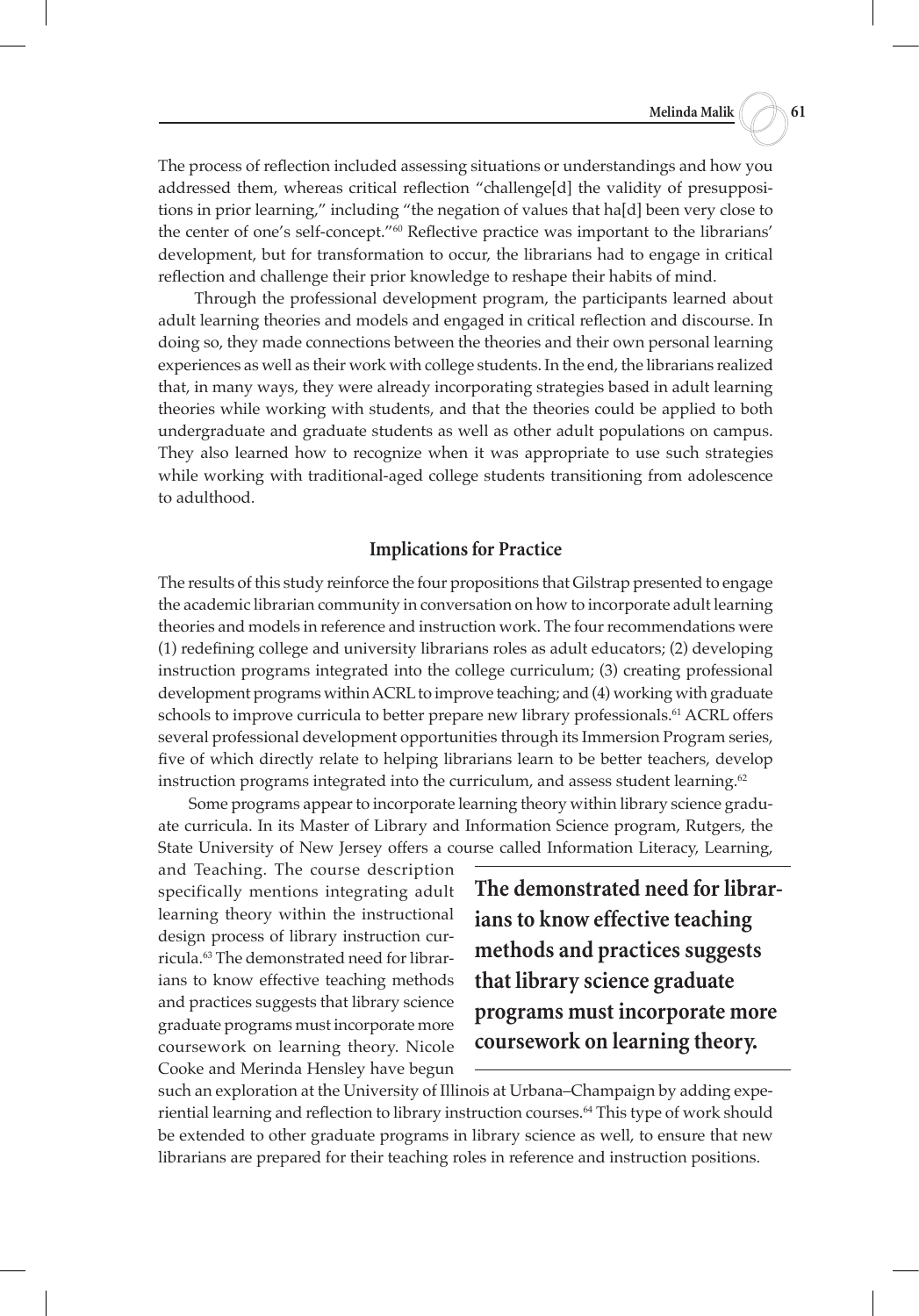The process of reflection included assessing situations or understandings and how you addressed them, whereas critical reflection "challenge[d] the validity of presuppositions in prior learning," including "the negation of values that ha[d] been very close to the center of one's self-concept."<sup>60</sup> Reflective practice was important to the librarians' development, but for transformation to occur, the librarians had to engage in critical reflection and challenge their prior knowledge to reshape their habits of mind.

 Through the professional development program, the participants learned about adult learning theories and models and engaged in critical reflection and discourse. In doing so, they made connections between the theories and their own personal learning experiences as well as their work with college students. In the end, the librarians realized that, in many ways, they were already incorporating strategies based in adult learning theories while working with students, and that the theories could be applied to both undergraduate and graduate students as well as other adult populations on campus. They also learned how to recognize when it was appropriate to use such strategies while working with traditional-aged college students transitioning from adolescence to adulthood.

#### **Implications for Practice**

The results of this study reinforce the four propositions that Gilstrap presented to engage the academic librarian community in conversation on how to incorporate adult learning theories and models in reference and instruction work. The four recommendations were (1) redefining college and university librarians roles as adult educators; (2) developing instruction programs integrated into the college curriculum; (3) creating professional development programs within ACRL to improve teaching; and (4) working with graduate schools to improve curricula to better prepare new library professionals.<sup>61</sup> ACRL offers several professional development opportunities through its Immersion Program series, five of which directly relate to helping librarians learn to be better teachers, develop instruction programs integrated into the curriculum, and assess student learning.<sup>62</sup>

Some programs appear to incorporate learning theory within library science graduate curricula. In its Master of Library and Information Science program, Rutgers, the State University of New Jersey offers a course called Information Literacy, Learning,

and Teaching. The course description specifically mentions integrating adult learning theory within the instructional design process of library instruction curricula.63 The demonstrated need for librarians to know effective teaching methods and practices suggests that library science graduate programs must incorporate more coursework on learning theory. Nicole Cooke and Merinda Hensley have begun

**The demonstrated need for librarians to know effective teaching methods and practices suggests that library science graduate programs must incorporate more coursework on learning theory.** 

such an exploration at the University of Illinois at Urbana–Champaign by adding experiential learning and reflection to library instruction courses.<sup>64</sup> This type of work should be extended to other graduate programs in library science as well, to ensure that new librarians are prepared for their teaching roles in reference and instruction positions.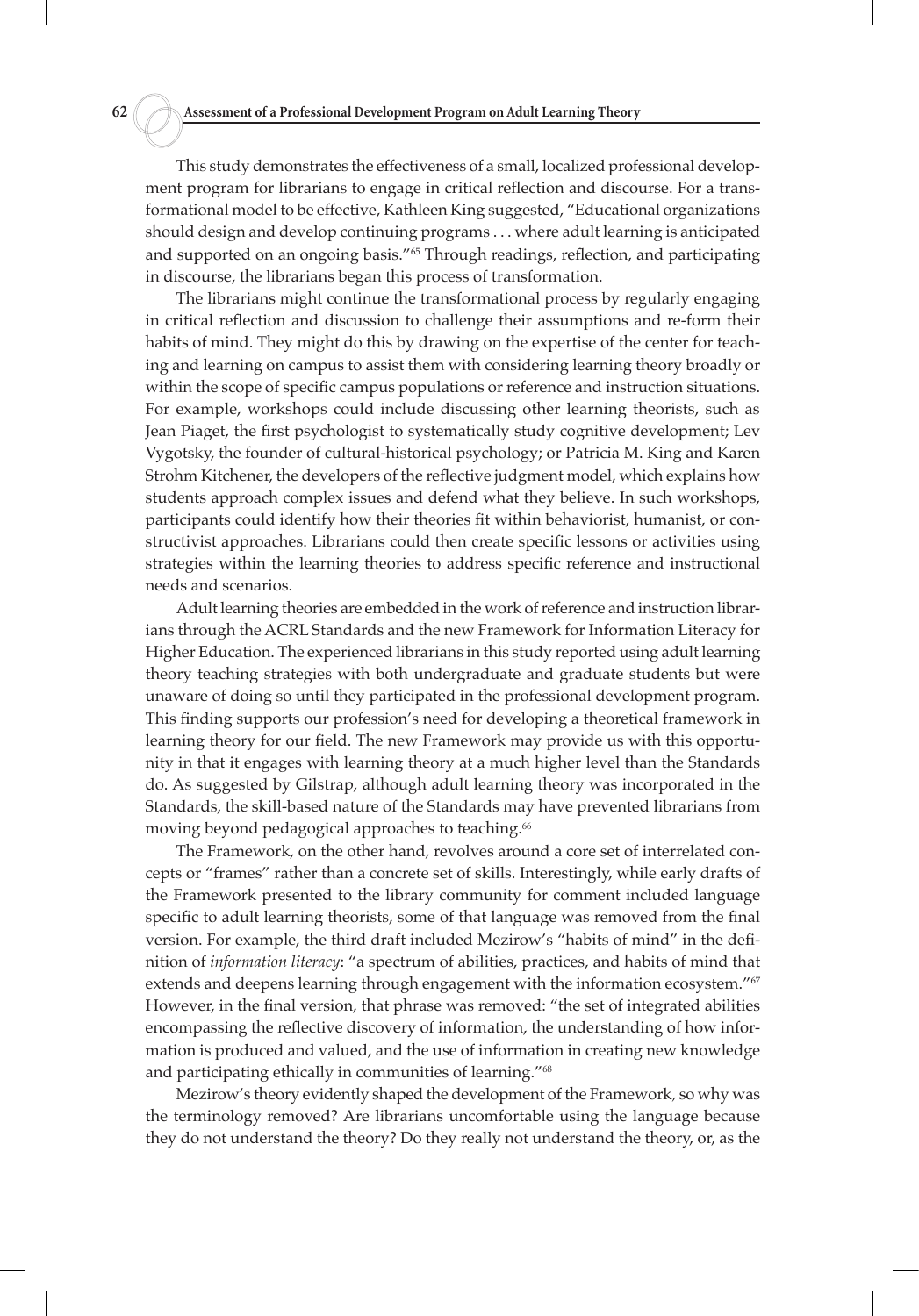This study demonstrates the effectiveness of a small, localized professional development program for librarians to engage in critical reflection and discourse. For a transformational model to be effective, Kathleen King suggested, "Educational organizations should design and develop continuing programs . . . where adult learning is anticipated and supported on an ongoing basis."<sup>65</sup> Through readings, reflection, and participating in discourse, the librarians began this process of transformation.

The librarians might continue the transformational process by regularly engaging in critical reflection and discussion to challenge their assumptions and re-form their habits of mind. They might do this by drawing on the expertise of the center for teaching and learning on campus to assist them with considering learning theory broadly or within the scope of specific campus populations or reference and instruction situations. For example, workshops could include discussing other learning theorists, such as Jean Piaget, the first psychologist to systematically study cognitive development; Lev Vygotsky, the founder of cultural-historical psychology; or Patricia M. King and Karen Strohm Kitchener, the developers of the reflective judgment model, which explains how students approach complex issues and defend what they believe. In such workshops, participants could identify how their theories fit within behaviorist, humanist, or constructivist approaches. Librarians could then create specific lessons or activities using strategies within the learning theories to address specific reference and instructional needs and scenarios.

Adult learning theories are embedded in the work of reference and instruction librarians through the ACRL Standards and the new Framework for Information Literacy for Higher Education. The experienced librarians in this study reported using adult learning theory teaching strategies with both undergraduate and graduate students but were unaware of doing so until they participated in the professional development program. This finding supports our profession's need for developing a theoretical framework in learning theory for our field. The new Framework may provide us with this opportunity in that it engages with learning theory at a much higher level than the Standards do. As suggested by Gilstrap, although adult learning theory was incorporated in the Standards, the skill-based nature of the Standards may have prevented librarians from moving beyond pedagogical approaches to teaching.<sup>66</sup>

The Framework, on the other hand, revolves around a core set of interrelated concepts or "frames" rather than a concrete set of skills. Interestingly, while early drafts of the Framework presented to the library community for comment included language specific to adult learning theorists, some of that language was removed from the final version. For example, the third draft included Mezirow's "habits of mind" in the definition of *information literacy*: "a spectrum of abilities, practices, and habits of mind that extends and deepens learning through engagement with the information ecosystem."<sup>67</sup> However, in the final version, that phrase was removed: "the set of integrated abilities encompassing the reflective discovery of information, the understanding of how information is produced and valued, and the use of information in creating new knowledge and participating ethically in communities of learning."<sup>68</sup>

Mezirow's theory evidently shaped the development of the Framework*,* so why was the terminology removed? Are librarians uncomfortable using the language because they do not understand the theory? Do they really not understand the theory, or, as the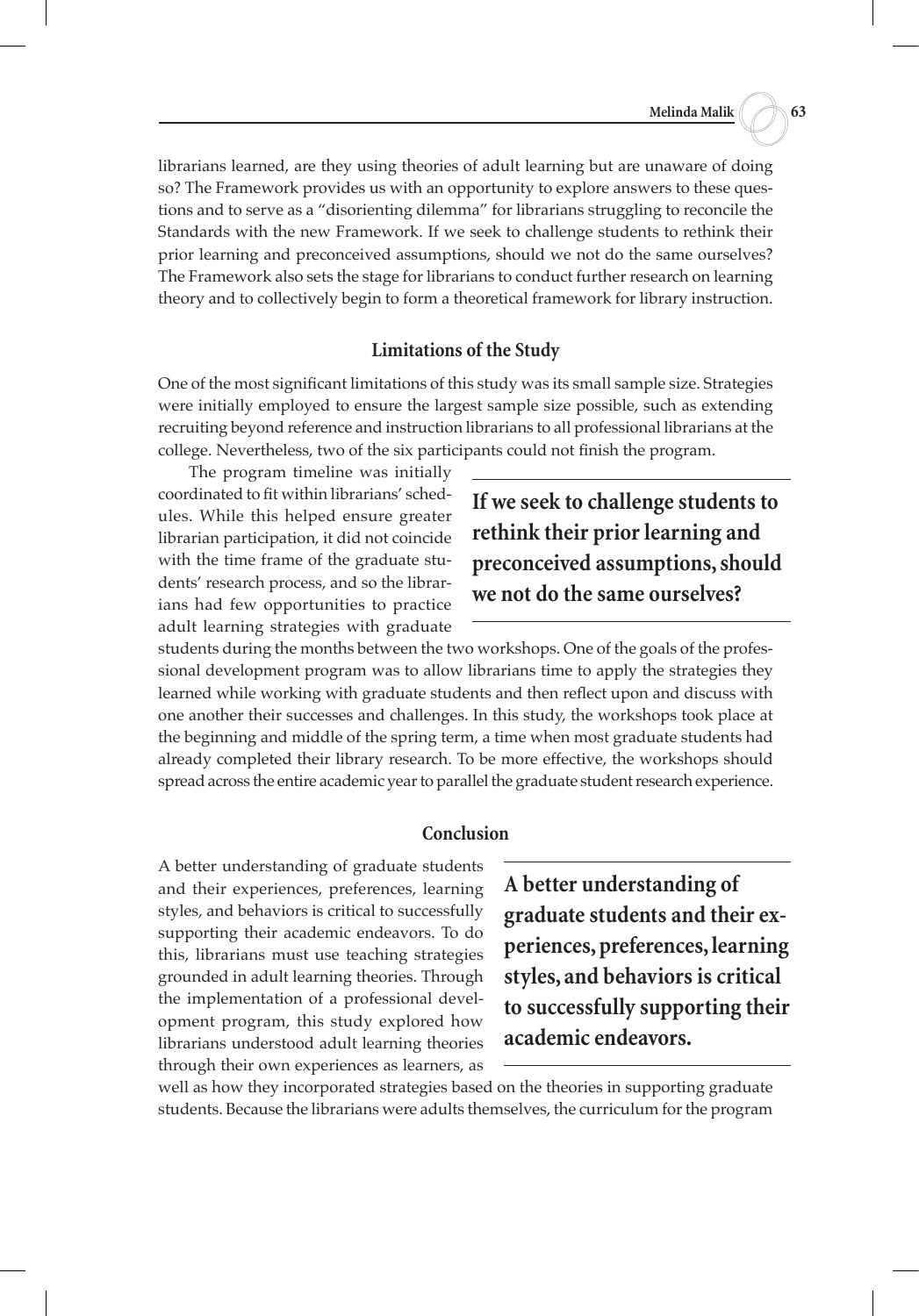librarians learned, are they using theories of adult learning but are unaware of doing so? The Framework provides us with an opportunity to explore answers to these questions and to serve as a "disorienting dilemma" for librarians struggling to reconcile the Standards with the new Framework. If we seek to challenge students to rethink their prior learning and preconceived assumptions, should we not do the same ourselves? The Framework also sets the stage for librarians to conduct further research on learning theory and to collectively begin to form a theoretical framework for library instruction.

### **Limitations of the Study**

One of the most significant limitations of this study was its small sample size. Strategies were initially employed to ensure the largest sample size possible, such as extending recruiting beyond reference and instruction librarians to all professional librarians at the college. Nevertheless, two of the six participants could not finish the program.

The program timeline was initially coordinated to fit within librarians' schedules. While this helped ensure greater librarian participation, it did not coincide with the time frame of the graduate students' research process, and so the librarians had few opportunities to practice adult learning strategies with graduate

## **If we seek to challenge students to rethink their prior learning and preconceived assumptions, should we not do the same ourselves?**

students during the months between the two workshops. One of the goals of the professional development program was to allow librarians time to apply the strategies they learned while working with graduate students and then reflect upon and discuss with one another their successes and challenges. In this study, the workshops took place at the beginning and middle of the spring term, a time when most graduate students had already completed their library research. To be more effective, the workshops should spread across the entire academic year to parallel the graduate student research experience.

#### **Conclusion**

A better understanding of graduate students and their experiences, preferences, learning styles, and behaviors is critical to successfully supporting their academic endeavors. To do this, librarians must use teaching strategies grounded in adult learning theories. Through the implementation of a professional development program, this study explored how librarians understood adult learning theories through their own experiences as learners, as

**A better understanding of graduate students and their experiences, preferences, learning styles, and behaviors is critical to successfully supporting their academic endeavors.** 

well as how they incorporated strategies based on the theories in supporting graduate students. Because the librarians were adults themselves, the curriculum for the program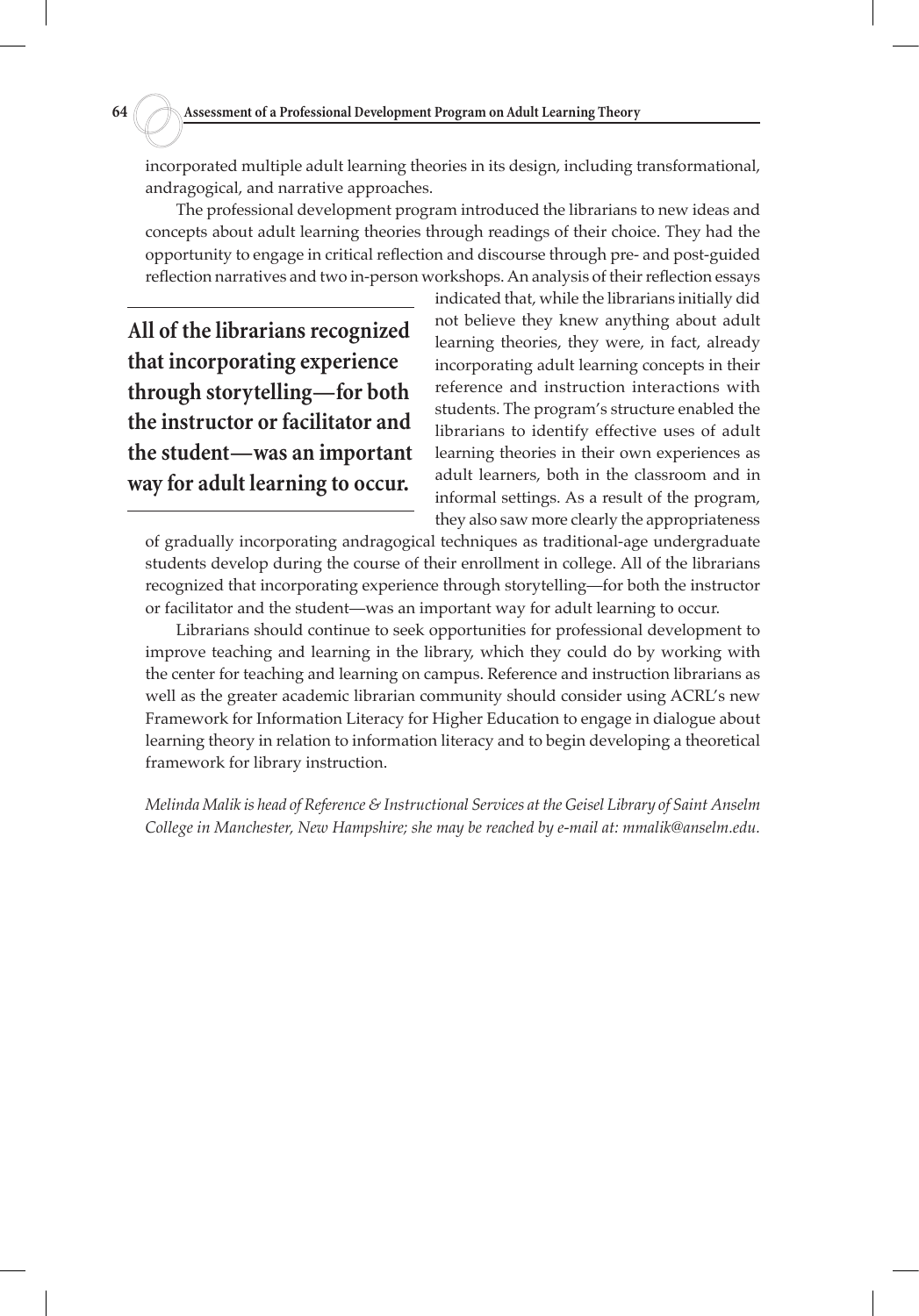incorporated multiple adult learning theories in its design, including transformational, andragogical, and narrative approaches.

The professional development program introduced the librarians to new ideas and concepts about adult learning theories through readings of their choice. They had the opportunity to engage in critical reflection and discourse through pre- and post-guided reflection narratives and two in-person workshops. An analysis of their reflection essays

**All of the librarians recognized that incorporating experience through storytelling—for both the instructor or facilitator and the student—was an important way for adult learning to occur.** 

indicated that, while the librarians initially did not believe they knew anything about adult learning theories, they were, in fact, already incorporating adult learning concepts in their reference and instruction interactions with students. The program's structure enabled the librarians to identify effective uses of adult learning theories in their own experiences as adult learners, both in the classroom and in informal settings. As a result of the program, they also saw more clearly the appropriateness

of gradually incorporating andragogical techniques as traditional-age undergraduate students develop during the course of their enrollment in college. All of the librarians recognized that incorporating experience through storytelling—for both the instructor or facilitator and the student—was an important way for adult learning to occur.

Librarians should continue to seek opportunities for professional development to improve teaching and learning in the library, which they could do by working with the center for teaching and learning on campus. Reference and instruction librarians as well as the greater academic librarian community should consider using ACRL's new Framework for Information Literacy for Higher Education to engage in dialogue about learning theory in relation to information literacy and to begin developing a theoretical framework for library instruction.

*Melinda Malik is head of Reference & Instructional Services at the Geisel Library of Saint Anselm College in Manchester, New Hampshire; she may be reached by e-mail at: mmalik@anselm.edu.*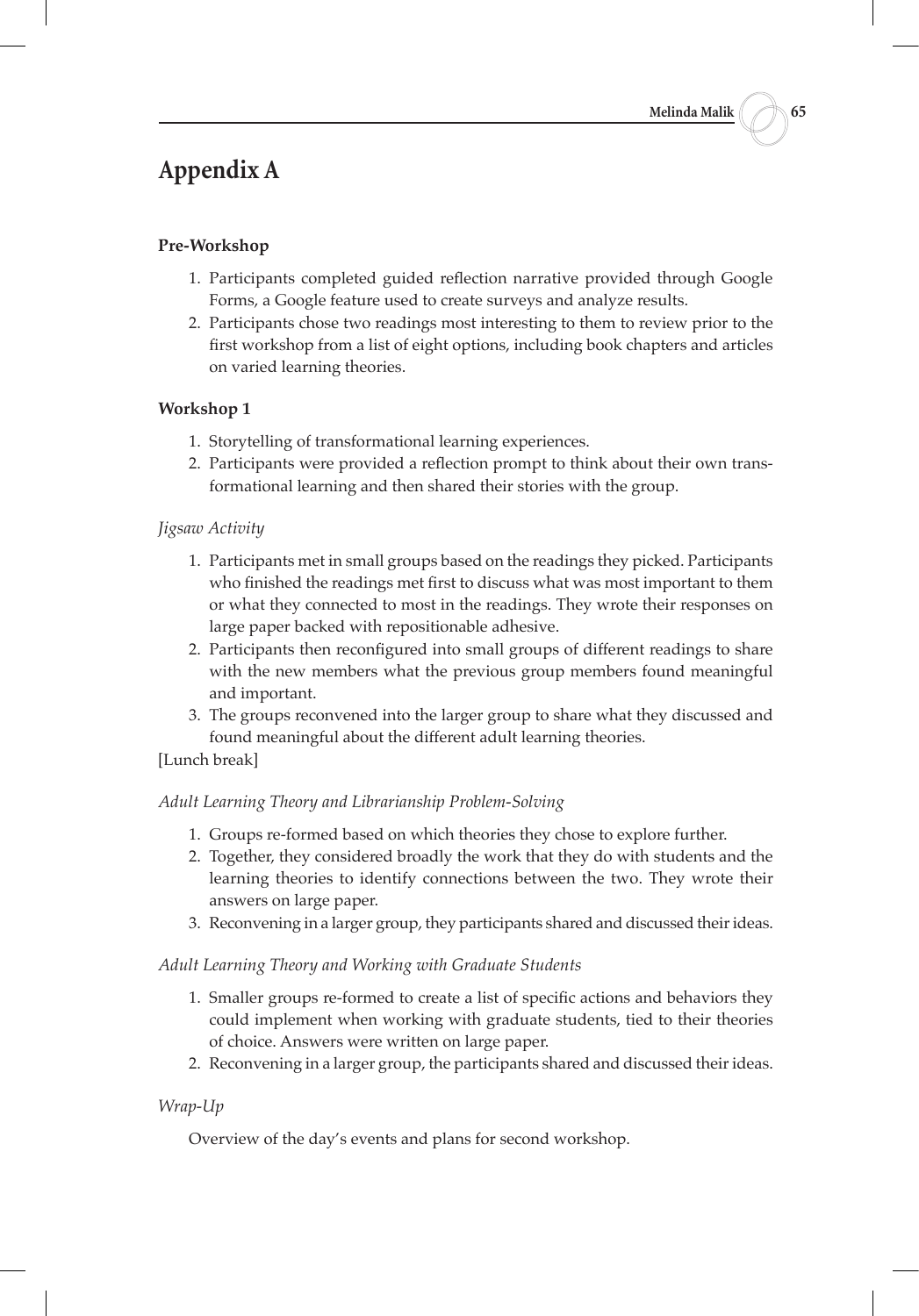# **Appendix A**

## **Pre-Workshop**

- 1. Participants completed guided reflection narrative provided through Google Forms, a Google feature used to create surveys and analyze results.
- 2. Participants chose two readings most interesting to them to review prior to the first workshop from a list of eight options, including book chapters and articles on varied learning theories.

## **Workshop 1**

- 1. Storytelling of transformational learning experiences.
- 2. Participants were provided a reflection prompt to think about their own transformational learning and then shared their stories with the group.

## *Jigsaw activity*

- 1. Participants met in small groups based on the readings they picked. Participants who finished the readings met first to discuss what was most important to them or what they connected to most in the readings. They wrote their responses on large paper backed with repositionable adhesive.
- 2. Participants then reconfigured into small groups of different readings to share with the new members what the previous group members found meaningful and important.
- 3. The groups reconvened into the larger group to share what they discussed and found meaningful about the different adult learning theories.

## [Lunch break]

## *Adult Learning Theory and Librarianship Problem-Solving*

- 1. Groups re-formed based on which theories they chose to explore further.
- 2. Together, they considered broadly the work that they do with students and the learning theories to identify connections between the two. They wrote their answers on large paper.
- 3. Reconvening in a larger group, they participants shared and discussed their ideas.

## *Adult Learning Theory and Working with Graduate Students*

- 1. Smaller groups re-formed to create a list of specific actions and behaviors they could implement when working with graduate students, tied to their theories of choice. Answers were written on large paper.
- 2. Reconvening in a larger group, the participants shared and discussed their ideas.

## *Wrap-Up*

Overview of the day's events and plans for second workshop.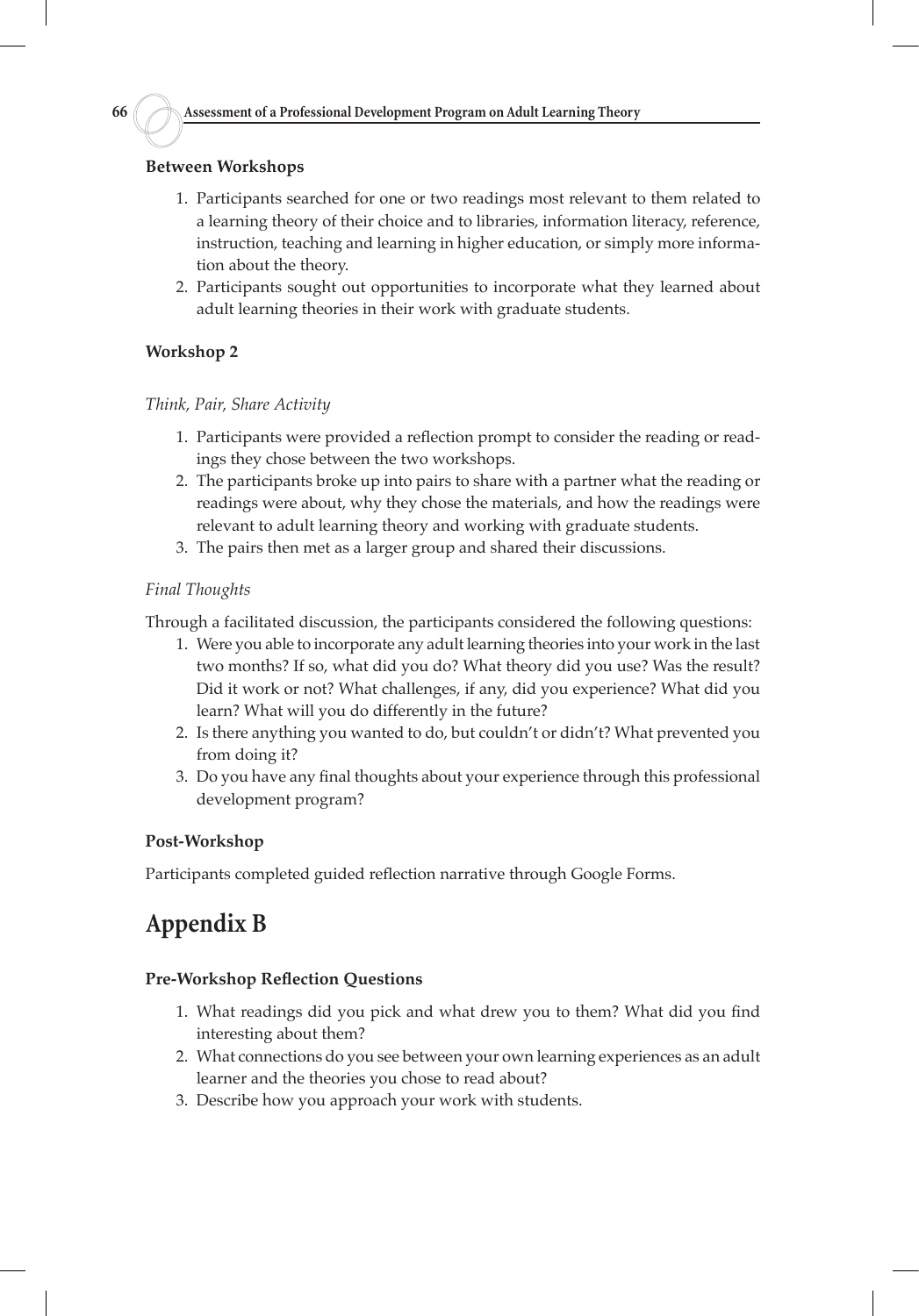## **Between Workshops**

- 1. Participants searched for one or two readings most relevant to them related to a learning theory of their choice and to libraries, information literacy, reference, instruction, teaching and learning in higher education, or simply more information about the theory.
- 2. Participants sought out opportunities to incorporate what they learned about adult learning theories in their work with graduate students.

## **Workshop 2**

## *Think, Pair, Share Activity*

- 1. Participants were provided a reflection prompt to consider the reading or readings they chose between the two workshops.
- 2. The participants broke up into pairs to share with a partner what the reading or readings were about, why they chose the materials, and how the readings were relevant to adult learning theory and working with graduate students.
- 3. The pairs then met as a larger group and shared their discussions.

## *Final Thoughts*

Through a facilitated discussion, the participants considered the following questions:

- 1. Were you able to incorporate any adult learning theories into your work in the last two months? If so, what did you do? What theory did you use? Was the result? Did it work or not? What challenges, if any, did you experience? What did you learn? What will you do differently in the future?
- 2. Is there anything you wanted to do, but couldn't or didn't? What prevented you from doing it?
- 3. Do you have any final thoughts about your experience through this professional development program?

## **Post-Workshop**

Participants completed guided reflection narrative through Google Forms.

# **Appendix B**

## **Pre-Workshop Reflection Questions**

- 1. What readings did you pick and what drew you to them? What did you find interesting about them?
- 2. What connections do you see between your own learning experiences as an adult learner and the theories you chose to read about?
- 3. Describe how you approach your work with students.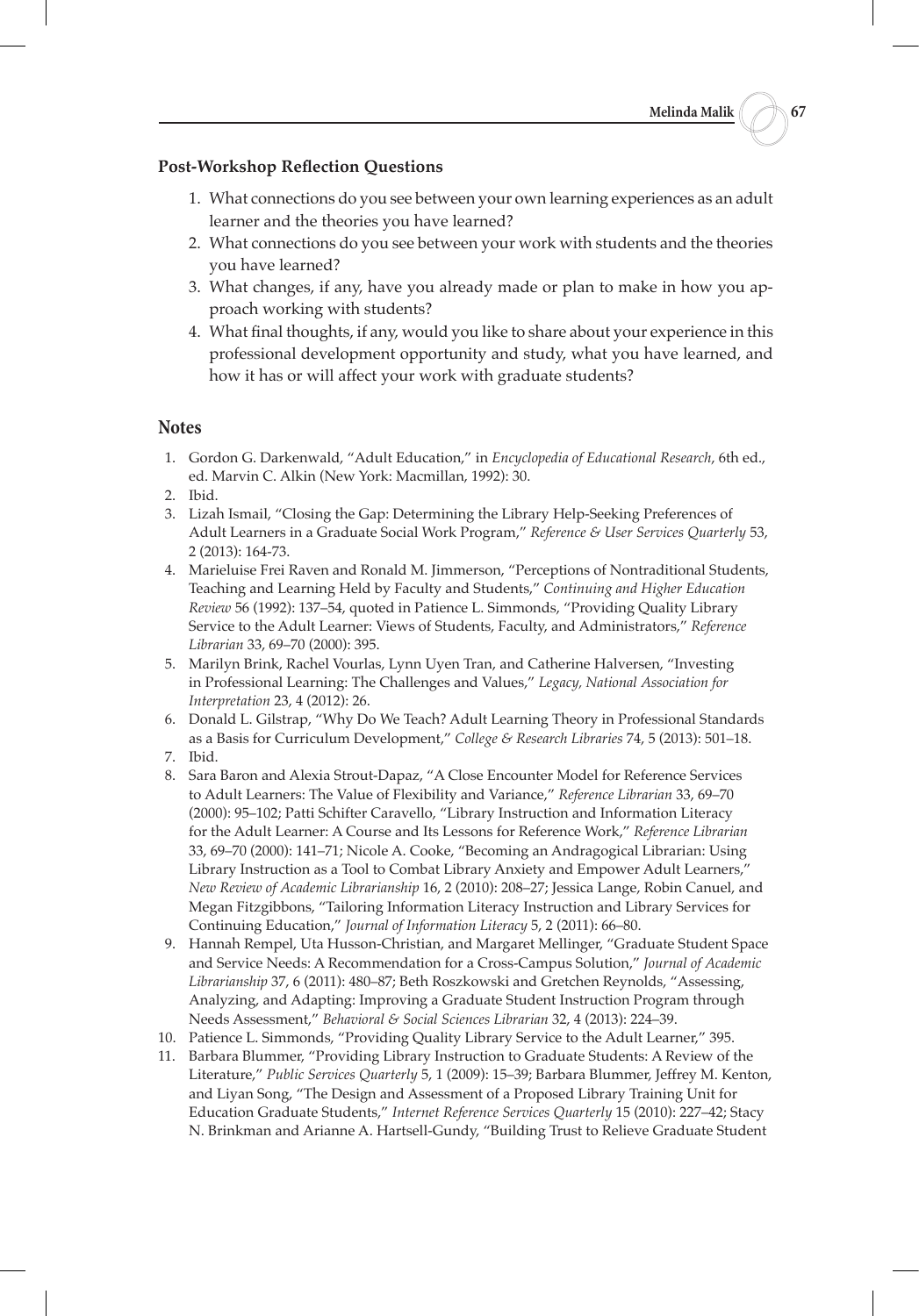### **Post-Workshop Reflection Questions**

- 1. What connections do you see between your own learning experiences as an adult learner and the theories you have learned?
- 2. What connections do you see between your work with students and the theories you have learned?
- 3. What changes, if any, have you already made or plan to make in how you approach working with students?
- 4. What final thoughts, if any, would you like to share about your experience in this professional development opportunity and study, what you have learned, and how it has or will affect your work with graduate students?

## **Notes**

- 1. Gordon G. Darkenwald, "Adult Education," in *Encyclopedia of Educational Research*, 6th ed., ed. Marvin C. Alkin (New York: Macmillan, 1992): 30.
- 2. Ibid.
- 3. Lizah Ismail, "Closing the Gap: Determining the Library Help-Seeking Preferences of Adult Learners in a Graduate Social Work Program," *Reference & User Services Quarterly* 53, 2 (2013): 164-73.
- 4. Marieluise Frei Raven and Ronald M. Jimmerson, "Perceptions of Nontraditional Students, Teaching and Learning Held by Faculty and Students," *Continuing and Higher Education Review* 56 (1992): 137–54, quoted in Patience L. Simmonds, "Providing Quality Library Service to the Adult Learner: Views of Students, Faculty, and Administrators," *Reference Librarian* 33, 69–70 (2000): 395.
- 5. Marilyn Brink, Rachel Vourlas, Lynn Uyen Tran, and Catherine Halversen, "Investing in Professional Learning: The Challenges and Values," *Legacy, National Association for Interpretation* 23, 4 (2012): 26.
- 6. Donald L. Gilstrap, "Why Do We Teach? Adult Learning Theory in Professional Standards as a Basis for Curriculum Development," *College & Research Libraries* 74, 5 (2013): 501–18.
- 7. Ibid.
- 8. Sara Baron and Alexia Strout-Dapaz, "A Close Encounter Model for Reference Services to Adult Learners: The Value of Flexibility and Variance," *Reference Librarian* 33, 69–70 (2000): 95–102; Patti Schifter Caravello, "Library Instruction and Information Literacy for the Adult Learner: A Course and Its Lessons for Reference Work," *Reference Librarian*  33, 69–70 (2000): 141–71; Nicole A. Cooke, "Becoming an Andragogical Librarian: Using Library Instruction as a Tool to Combat Library Anxiety and Empower Adult Learners," *New Review of Academic Librarianship* 16, 2 (2010): 208–27; Jessica Lange, Robin Canuel, and Megan Fitzgibbons, "Tailoring Information Literacy Instruction and Library Services for Continuing Education," *Journal of Information Literacy* 5, 2 (2011): 66–80.
- 9. Hannah Rempel, Uta Husson-Christian, and Margaret Mellinger, "Graduate Student Space and Service Needs: A Recommendation for a Cross-Campus Solution," *Journal of Academic Librarianship* 37, 6 (2011): 480–87; Beth Roszkowski and Gretchen Reynolds, "Assessing, Analyzing, and Adapting: Improving a Graduate Student Instruction Program through Needs Assessment," *Behavioral & Social Sciences Librarian* 32, 4 (2013): 224–39.
- 10. Patience L. Simmonds, "Providing Quality Library Service to the Adult Learner," 395.
- 11. Barbara Blummer, "Providing Library Instruction to Graduate Students: A Review of the Literature," *Public Services Quarterly* 5, 1 (2009): 15–39; Barbara Blummer, Jeffrey M. Kenton, and Liyan Song, "The Design and Assessment of a Proposed Library Training Unit for Education Graduate Students," *Internet Reference Services Quarterly* 15 (2010): 227–42; Stacy N. Brinkman and Arianne A. Hartsell-Gundy, "Building Trust to Relieve Graduate Student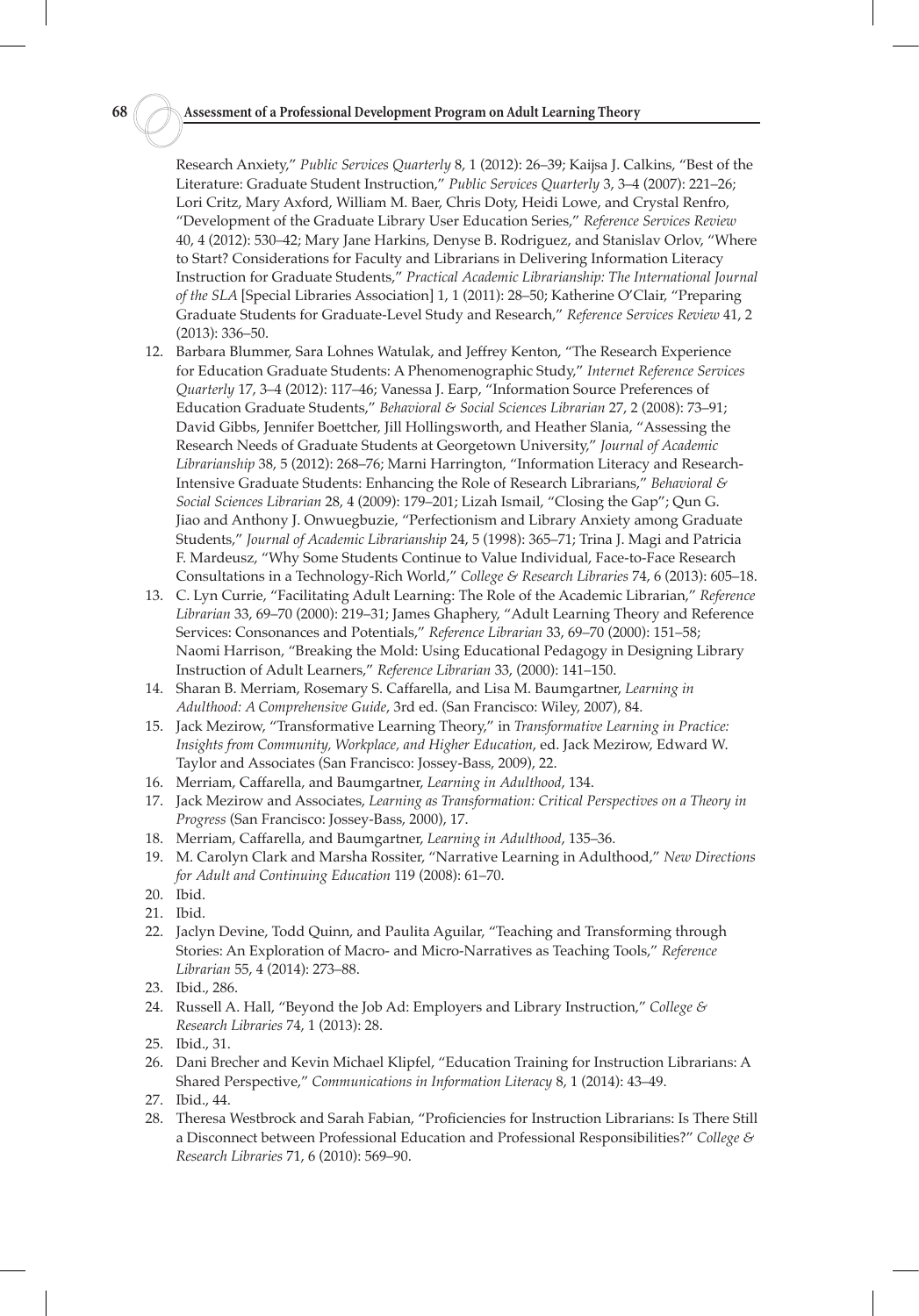Research Anxiety," *Public Services Quarterly* 8, 1 (2012): 26–39; Kaijsa J. Calkins, "Best of the Literature: Graduate Student Instruction," *Public Services Quarterly* 3, 3–4 (2007): 221–26; Lori Critz, Mary Axford, William M. Baer, Chris Doty, Heidi Lowe, and Crystal Renfro, "Development of the Graduate Library User Education Series," *Reference Services Review*  40, 4 (2012): 530–42; Mary Jane Harkins, Denyse B. Rodriguez, and Stanislav Orlov, "Where to Start? Considerations for Faculty and Librarians in Delivering Information Literacy Instruction for Graduate Students," *Practical Academic Librarianship: The International Journal of the SLA* [Special Libraries Association] 1, 1 (2011): 28–50; Katherine O'Clair, "Preparing Graduate Students for Graduate-Level Study and Research," *Reference Services Review* 41, 2 (2013): 336–50.

- 12. Barbara Blummer, Sara Lohnes Watulak, and Jeffrey Kenton, "The Research Experience for Education Graduate Students: A Phenomenographic Study," *Internet Reference Services Quarterly* 17, 3–4 (2012): 117–46; Vanessa J. Earp, "Information Source Preferences of Education Graduate Students," *Behavioral & Social Sciences Librarian* 27, 2 (2008): 73–91; David Gibbs, Jennifer Boettcher, Jill Hollingsworth, and Heather Slania, "Assessing the Research Needs of Graduate Students at Georgetown University," *Journal of Academic Librarianship* 38, 5 (2012): 268–76; Marni Harrington, "Information Literacy and Research-Intensive Graduate Students: Enhancing the Role of Research Librarians," *Behavioral & Social Sciences Librarian* 28, 4 (2009): 179–201; Lizah Ismail, "Closing the Gap"; Qun G. Jiao and Anthony J. Onwuegbuzie, "Perfectionism and Library Anxiety among Graduate Students," *Journal of Academic Librarianship* 24, 5 (1998): 365–71; Trina J. Magi and Patricia F. Mardeusz, "Why Some Students Continue to Value Individual, Face-to-Face Research Consultations in a Technology-Rich World," *College & Research Libraries* 74, 6 (2013): 605–18.
- 13. C. Lyn Currie, "Facilitating Adult Learning: The Role of the Academic Librarian," *Reference Librarian* 33, 69–70 (2000): 219–31; James Ghaphery, "Adult Learning Theory and Reference Services: Consonances and Potentials," *Reference Librarian* 33, 69–70 (2000): 151–58; Naomi Harrison, "Breaking the Mold: Using Educational Pedagogy in Designing Library Instruction of Adult Learners," *Reference Librarian* 33, (2000): 141–150.
- 14. Sharan B. Merriam, Rosemary S. Caffarella, and Lisa M. Baumgartner, *Learning in Adulthood: A Comprehensive Guide*, 3rd ed. (San Francisco: Wiley, 2007), 84.
- 15. Jack Mezirow, "Transformative Learning Theory," in *Transformative Learning in Practice: Insights from Community, Workplace, and Higher Education*, ed. Jack Mezirow, Edward W. Taylor and Associates (San Francisco: Jossey-Bass, 2009), 22.
- 16. Merriam, Caffarella, and Baumgartner, *Learning in Adulthood*, 134.
- 17. Jack Mezirow and Associates, *Learning as Transformation: Critical Perspectives on a Theory in Progress* (San Francisco: Jossey-Bass, 2000), 17.
- 18. Merriam, Caffarella, and Baumgartner, *Learning in Adulthood*, 135–36.
- 19. M. Carolyn Clark and Marsha Rossiter, "Narrative Learning in Adulthood," *New Directions for Adult and Continuing Education* 119 (2008): 61–70.
- 20. Ibid.
- 21. Ibid.
- 22. Jaclyn Devine, Todd Quinn, and Paulita Aguilar, "Teaching and Transforming through Stories: An Exploration of Macro- and Micro-Narratives as Teaching Tools," *Reference Librarian* 55, 4 (2014): 273–88.
- 23. Ibid., 286.
- 24. Russell A. Hall, "Beyond the Job Ad: Employers and Library Instruction," *College & Research Libraries* 74, 1 (2013): 28.
- 25. Ibid., 31.
- 26. Dani Brecher and Kevin Michael Klipfel, "Education Training for Instruction Librarians: A Shared Perspective," *Communications in Information Literacy* 8, 1 (2014): 43–49.
- 27. Ibid., 44.
- 28. Theresa Westbrock and Sarah Fabian, "Proficiencies for Instruction Librarians: Is There Still a Disconnect between Professional Education and Professional Responsibilities?" *College & Research Libraries* 71, 6 (2010): 569–90.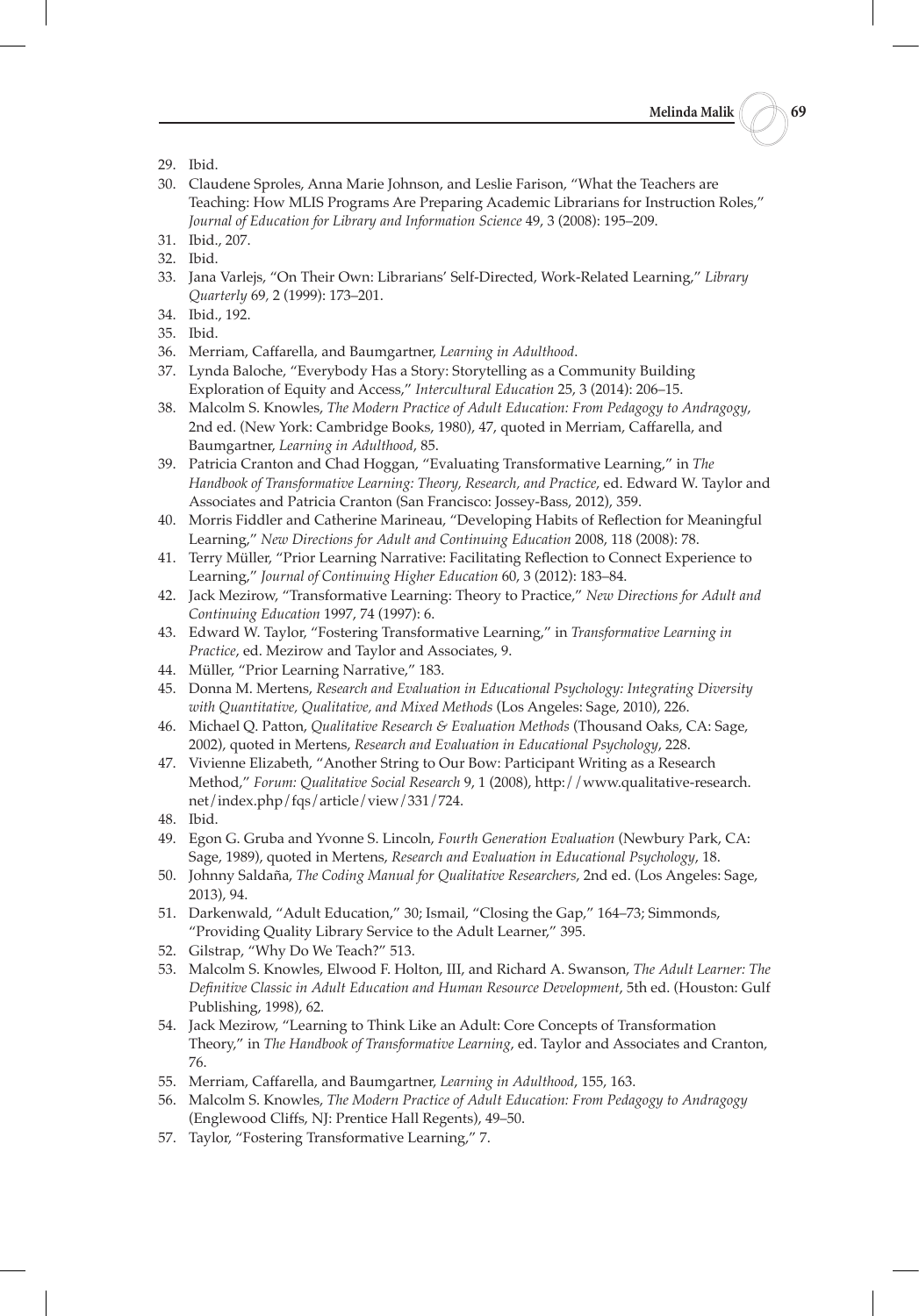#### **Melinda Malik 69**

- 30. Claudene Sproles, Anna Marie Johnson, and Leslie Farison, "What the Teachers are Teaching: How MLIS Programs Are Preparing Academic Librarians for Instruction Roles," *Journal of Education for Library and Information Science* 49, 3 (2008): 195–209.
- 31. Ibid., 207.
- 32. Ibid.
- 33. Jana Varlejs, "On Their Own: Librarians' Self-Directed, Work-Related Learning," *Library Quarterly* 69*,* 2 (1999): 173–201.
- 34. Ibid., 192.
- 35. Ibid.
- 36. Merriam, Caffarella, and Baumgartner, *Learning in Adulthood*.
- 37. Lynda Baloche, "Everybody Has a Story: Storytelling as a Community Building Exploration of Equity and Access," *Intercultural Education* 25, 3 (2014): 206–15.
- 38. Malcolm S. Knowles, *The Modern Practice of Adult Education: From Pedagogy to Andragogy*, 2nd ed. (New York: Cambridge Books, 1980), 47, quoted in Merriam, Caffarella, and Baumgartner, *Learning in Adulthood*, 85.
- 39. Patricia Cranton and Chad Hoggan, "Evaluating Transformative Learning," in *The Handbook of Transformative Learning: Theory, Research, and Practice*, ed. Edward W. Taylor and Associates and Patricia Cranton (San Francisco: Jossey-Bass, 2012), 359.
- 40. Morris Fiddler and Catherine Marineau, "Developing Habits of Reflection for Meaningful Learning," *New Directions for Adult and Continuing Education* 2008, 118 (2008): 78.
- 41. Terry Müller, "Prior Learning Narrative: Facilitating Reflection to Connect Experience to Learning," *Journal of Continuing Higher Education* 60, 3 (2012): 183–84.
- 42. Jack Mezirow, "Transformative Learning: Theory to Practice," *New Directions for Adult and Continuing Education* 1997, 74 (1997): 6.
- 43. Edward W. Taylor, "Fostering Transformative Learning," in *Transformative Learning in Practice*, ed. Mezirow and Taylor and Associates, 9.
- 44. Müller, "Prior Learning Narrative," 183.
- 45. Donna M. Mertens, *Research and Evaluation in Educational Psychology: Integrating Diversity with Quantitative, Qualitative, and Mixed Methods* (Los Angeles: Sage, 2010), 226.
- 46. Michael Q. Patton, *Qualitative Research & Evaluation Methods* (Thousand Oaks, CA: Sage, 2002), quoted in Mertens, *Research and Evaluation in Educational Psychology*, 228.
- 47. Vivienne Elizabeth, "Another String to Our Bow: Participant Writing as a Research Method," *Forum: Qualitative Social Research* 9, 1 (2008), http://www.qualitative-research. net/index.php/fqs/article/view/331/724.
- 48. Ibid.
- 49. Egon G. Gruba and Yvonne S. Lincoln, *Fourth Generation Evaluation* (Newbury Park, CA: Sage, 1989), quoted in Mertens, *Research and Evaluation in Educational Psychology*, 18.
- 50. Johnny Saldaña, *The Coding Manual for Qualitative Researchers*, 2nd ed. (Los Angeles: Sage, 2013), 94.
- 51. Darkenwald, "Adult Education," 30; Ismail, "Closing the Gap," 164–73; Simmonds, "Providing Quality Library Service to the Adult Learner," 395.
- 52. Gilstrap, "Why Do We Teach?" 513.
- 53. Malcolm S. Knowles, Elwood F. Holton, III, and Richard A. Swanson, *The Adult Learner: The Definitive Classic in Adult Education and Human Resource Development*, 5th ed. (Houston: Gulf Publishing, 1998), 62.
- 54. Jack Mezirow, "Learning to Think Like an Adult: Core Concepts of Transformation Theory," in *The Handbook of Transformative Learning*, ed. Taylor and Associates and Cranton, 76.
- 55. Merriam, Caffarella, and Baumgartner, *Learning in Adulthood*, 155, 163.
- 56. Malcolm S. Knowles, *The Modern Practice of Adult Education: From Pedagogy to Andragogy* (Englewood Cliffs, NJ: Prentice Hall Regents), 49–50.
- 57. Taylor, "Fostering Transformative Learning," 7.

<sup>29.</sup> Ibid.